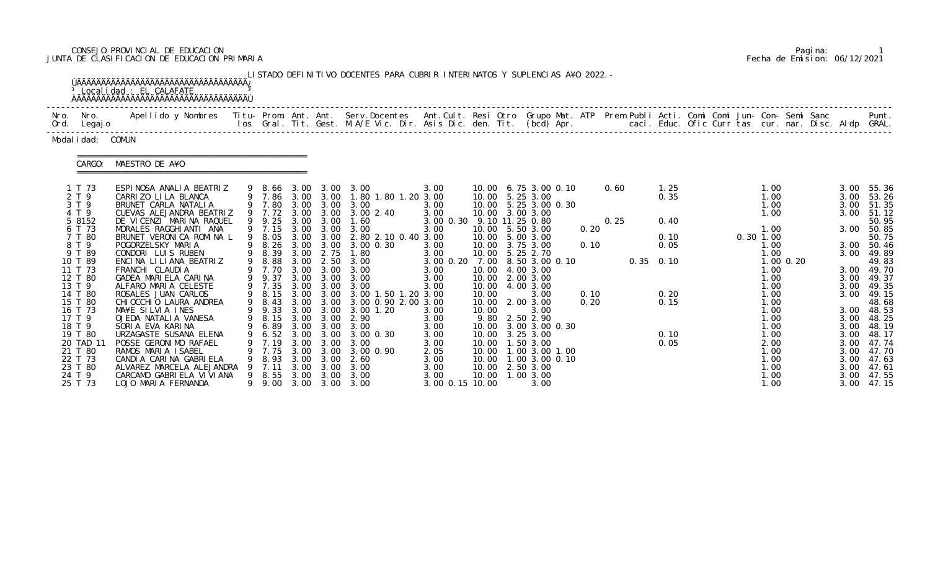# CONSEJO PROVINCIAL DE EDUCACION Pagina: 1 JUNTA DE CLASIFICACION DE EDUCACION PRIMARIA Fecha de Emision: 06/12/2021

| Nro. Nro.<br>Ord. Legajo                                                   | Apellido y Nombres  Titu- Prom. Ant. Ant.  Serv.Docentes  Ant.Cult. Resi Otro  Grupo Mat. ATP  Prem Publi Acti. Comi Comi Jun- Con- Semi Sanc              Punt.<br>Ios Gral. Tit. Gest. M.A/E Vic. Dir. Asis Dic. den. Tit. (bcd |                                                              |                                                      |                                              |                                                                                                                                 |                                                                 |                                                                          |                                                                                             |              |      |             |                      |  |             |                                                       |               |                                                      |                                                             |
|----------------------------------------------------------------------------|-----------------------------------------------------------------------------------------------------------------------------------------------------------------------------------------------------------------------------------|--------------------------------------------------------------|------------------------------------------------------|----------------------------------------------|---------------------------------------------------------------------------------------------------------------------------------|-----------------------------------------------------------------|--------------------------------------------------------------------------|---------------------------------------------------------------------------------------------|--------------|------|-------------|----------------------|--|-------------|-------------------------------------------------------|---------------|------------------------------------------------------|-------------------------------------------------------------|
| Modal i dad: COMUN                                                         |                                                                                                                                                                                                                                   |                                                              |                                                      |                                              |                                                                                                                                 |                                                                 |                                                                          |                                                                                             |              |      |             |                      |  |             |                                                       |               |                                                      |                                                             |
| CARGO:                                                                     | MAESTRO DE A¥O                                                                                                                                                                                                                    |                                                              |                                                      |                                              |                                                                                                                                 |                                                                 |                                                                          |                                                                                             |              |      |             |                      |  |             |                                                       |               |                                                      |                                                             |
| 1 T 73<br>2 T 9<br>3 T 9<br>4 T 9                                          | ESPINOSA ANALIA BEATRIZ<br>CARRIZO LILA BLANCA<br>BRUNET CARLA NATALIA<br>CUEVAS ALEJANDRA BEATRIZ                                                                                                                                |                                                              |                                                      |                                              | 9 8.66 3.00 3.00 3.00<br>9 7.86 3.00 3.00 1.80 1.80 1.20 3.00<br>9 7.80 3.00 3.00 3.00<br>9 7.72 3.00 3.00 3.00 2.40            | 3.00<br>3.00<br>3.00                                            | 10.00 5.25 3.00<br>10.00 3.00 3.00                                       | 10.00 6.75 3.00 0.10<br>10.00 5.25 3.00 0.30                                                |              | 0.60 |             | 1.25<br>0.35         |  |             | 1.00<br>1.00<br>1.00<br>1.00                          |               | 3.00<br>3.00                                         | 3.00 55.36<br>3.00 53.26<br>51.35<br>51.12                  |
| 5 8152<br>6 T 73<br>7 T 80<br>8 T 9<br>9 T 89                              | DE VICENZI MARINA RAQUEL<br>MORALES RAGGHIANTI ANA<br>BRUNET VERONICA ROMINA L<br>POGORZELSKY MARIA<br>CONDORI LUIS RUBEN                                                                                                         | 9 8.05<br>9 8.39                                             |                                                      |                                              | 9 9.25 3.00 3.00 1.60<br>9 7.15 3.00 3.00 3.00<br>3.00 3.00 2.80 2.10 0.40 3.00<br>9 8.26 3.00 3.00 3.00 0.30<br>3.00 2.75 1.80 | 3.00 0.30 9.10 11.25 0.80<br>3.00<br>3.00<br>3.00               | 10.00 5.50 3.00<br>10.00 5.00 3.00<br>10.00 3.75 3.00<br>10.00 5.25 2.70 |                                                                                             | 0.20<br>0.10 | 0.25 |             | 0.40<br>0.10<br>0.05 |  | $0.30$ 1.00 | 1.00<br>1.00<br>1.00                                  |               |                                                      | 50.95<br>3.00 50.85<br>50.75<br>3.00 50.46<br>3.00 49.89    |
| 10 T 89<br>11 T 73<br>12 T 80<br>13 T 9<br>14 T 80                         | ENCINA LILIANA BEATRIZ<br>FRANCHI CLAUDIA<br>GADEA MARIELA CARINA<br>ALFARO MARIA CELESTE<br>ROSALES JUAN CARLOS                                                                                                                  | 9 8.88<br>9 9.37<br>9 7.35                                   |                                                      | 3.00 3.00                                    | 3.00 2.50 3.00<br>9 7.70 3.00 3.00 3.00<br>3.00<br>3.00 3.00 3.00<br>9 8.15 3.00 3.00 3.00 1.50 1.20 3.00                       | 3.00 0.20 7.00<br>3.00<br>3.00<br>3.00                          | 10.00 4.00 3.00<br>10.00 2.00 3.00<br>10.00<br>10.00                     | 8.50 3.00 0.10<br>4.00 3.00<br>3.00                                                         | 0.10         |      | $0.35$ 0.10 | 0.20                 |  |             | 1.00<br>1.00<br>1.00<br>1.00                          | $1.00$ $0.20$ | 3.00<br>3.00<br>3.00                                 | 49.83<br>3.00 49.70<br>49.37<br>49.35<br>49.15              |
| 15 T 80<br>16 T 73<br>17 T 9<br>18 T 9                                     | CHI OCCHI O LAURA ANDREA<br>MA¥E SILVIA INES<br>OJEDA NATALIA VANESA<br>SORIA EVA KARINA                                                                                                                                          | 9 8.43<br>9 9.33                                             |                                                      |                                              | 3.00 3.00 3.00 0.90 2.00 3.00<br>3.00 3.00 3.00 1.20<br>9 8.15 3.00 3.00 2.90<br>9 6.89 3.00 3.00 3.00                          | 3.00<br>3.00<br>3.00                                            | 10.00 2.00 3.00<br>10.00                                                 | 3.00<br>9.80 2.50 2.90<br>10.00 3.00 3.00 0.30                                              | 0.20         |      |             | 0.15                 |  |             | 1.00<br>1.00<br>1.00<br>1.00                          |               | 3.00                                                 | 48.68<br>3.00 48.53<br>48.25<br>3.00 48.19                  |
| 19 T 80<br>20 TAD 11<br>21 T 80<br>22 T 73<br>23 T 80<br>24 T 9<br>25 T 73 | URZAGASTE SUSANA ELENA<br>POSSE GERONIMO RAFAEL<br>RAMOS MARIA ISABEL<br>CANDIA CARINA GABRIELA<br>ALVAREZ MARCELA ALEJANDRA<br>CARCAMO GABRIELA VIVIANA<br>LOJO MARIA FERNANDA                                                   | 6. 52<br>9 7.19<br>7.75<br>8.93<br>7. 11<br>9 8.55<br>9 9.00 | 3.00<br>3.00<br>3.00<br>3.00<br>3.00<br>3.00<br>3.00 | 3.00<br>3.00<br>3.00<br>3.00<br>3.00<br>3.00 | 3.00 0.30<br>3.00<br>3.00 0.90<br>2.60<br>3.00<br>3.00<br>3.00 3.00                                                             | 3.00<br>3.00<br>2.05<br>3.00<br>3.00<br>3.00<br>3.00 0.15 10.00 | 10.00<br>10.00<br>10.00<br>10.00<br>10.00<br>10.00                       | 3.25 3.00<br>1.50 3.00<br>1.00 3.00 1.00<br>1.00 3.00 0.10<br>2.50 3.00<br>1.003.00<br>3.00 |              |      |             | 0.10<br>0.05         |  |             | 1.00<br>2.00<br>1. 00<br>1.00<br>1.00<br>1.00<br>1.00 |               | 3.00<br>3.00<br>3.00<br>3.00<br>3.00<br>3.00<br>3.00 | 48.17<br>47.74<br>47.70<br>47.63<br>47.61<br>47.55<br>47.15 |

|  | Pagi na: |                              |
|--|----------|------------------------------|
|  |          | Fecha de Emision: 06/12/2021 |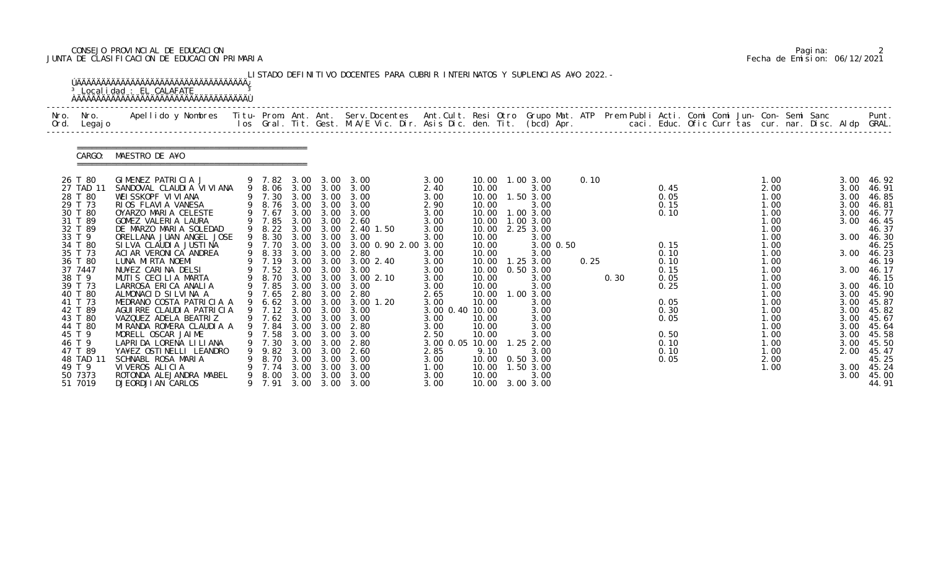## CONSEJO PROVINCIAL DE EDUCACION Pagina: 2 JUNTA DE CLASIFICACION DE EDUCACION PRIMARIA Fecha de Emision: 06/12/2021

| Nro.<br>Ord. | Nro.<br>Legaj o                                                                                                                                                                                                                                                     | Apellido y Nombres Titu- Prom. Ant. Ant. Serv.Docentes Ant.Cult. Resi Otro Grupo Mat. ATP Prem Publi Acti. Comi Comi Jun- Con- Semi Sanc                                                                                                                                                                                                                                                                                                                                                                                                                                                                    |                                                                                                                                                                                                                                         |                                                                                                              |                                                                                                                                                                                                                           | los Gral. Tit. Gest. M.A/E Vic. Dir. Asis Dic. den. Tit. (bcd) Apr.       caci. Educ. Ofic Curr tas cur. nar. Disc. Aldp GRAL.                                                                                                                 |                                                                                                                                                                                                             |                                                                                                                                                                                                             |                                                                                                                                                                                                                                                   |              |      |                                                                                                                                      |  |                                                                                                                                                                                              |  |                                                                                                                                                      | Punt.                                                                                                                                                                                                                |
|--------------|---------------------------------------------------------------------------------------------------------------------------------------------------------------------------------------------------------------------------------------------------------------------|-------------------------------------------------------------------------------------------------------------------------------------------------------------------------------------------------------------------------------------------------------------------------------------------------------------------------------------------------------------------------------------------------------------------------------------------------------------------------------------------------------------------------------------------------------------------------------------------------------------|-----------------------------------------------------------------------------------------------------------------------------------------------------------------------------------------------------------------------------------------|--------------------------------------------------------------------------------------------------------------|---------------------------------------------------------------------------------------------------------------------------------------------------------------------------------------------------------------------------|------------------------------------------------------------------------------------------------------------------------------------------------------------------------------------------------------------------------------------------------|-------------------------------------------------------------------------------------------------------------------------------------------------------------------------------------------------------------|-------------------------------------------------------------------------------------------------------------------------------------------------------------------------------------------------------------|---------------------------------------------------------------------------------------------------------------------------------------------------------------------------------------------------------------------------------------------------|--------------|------|--------------------------------------------------------------------------------------------------------------------------------------|--|----------------------------------------------------------------------------------------------------------------------------------------------------------------------------------------------|--|------------------------------------------------------------------------------------------------------------------------------------------------------|----------------------------------------------------------------------------------------------------------------------------------------------------------------------------------------------------------------------|
|              | CARGO:                                                                                                                                                                                                                                                              | MAESTRO DE A¥O                                                                                                                                                                                                                                                                                                                                                                                                                                                                                                                                                                                              |                                                                                                                                                                                                                                         |                                                                                                              |                                                                                                                                                                                                                           |                                                                                                                                                                                                                                                |                                                                                                                                                                                                             |                                                                                                                                                                                                             |                                                                                                                                                                                                                                                   |              |      |                                                                                                                                      |  |                                                                                                                                                                                              |  |                                                                                                                                                      |                                                                                                                                                                                                                      |
|              | 26 T 80<br>27 TAD 11<br>28 T 80<br>29 T 73<br>30 T 80<br>31 T 89<br>32 T 89<br>33 T 9<br>34 T 80<br>35 T 73<br>36 T 80<br>37 7447<br>38 T 9<br>39 T 73<br>40 T 80<br>41 T 73<br>42 T 89<br>43 T 80<br>44 T 80<br>45 T 9<br>46 T 9<br>47 T 89<br>48 TAD 11<br>49 T 9 | GIMENEZ PATRICIA J<br>SANDOVAL CLAUDI A VI VI ANA<br>WEISSKOPF VIVIANA<br>RIOS FLAVIA VANESA<br>OYARZO MARIA CELESTE<br>GOMEZ VALERIA LAURA<br>DE MARZO MARIA SOLEDAD<br>ORELLANA JUAN ANGEL JOSE<br>SI LVA CLAUDI A JUSTI NA<br>ACI AR VERONICA ANDREA<br>LUNA MIRTA NOEMI<br>NU¥EZ CARINA DELSI<br>MUTIS CECILIA MARTA<br>LARROSA ERICA ANALIA<br>ALMONACID SILVINA A<br>MEDRANO COSTA PATRICIA A<br>AGUI RRE CLAUDI A PATRICIA<br>VAZQUEZ ADELA BEATRIZ<br>MIRANDA ROMERA CLAUDIA A<br>MORELL OSCAR JAIME<br>LAPRIDA LORENA LI LI ANA<br>YA¥EZ OSTINELLI LEANDRO<br>SCHNABL ROSA MARIA<br>VIVEROS ALICIA | 9 7.82<br>9 8.06 3.00<br>9 7.30<br>9 8.76<br>9 7.67<br>9 7.85<br>9 8.22<br>9 8.30<br>9 7.70<br>9 8.33<br>9 7.19<br>9 7.52<br>9 8.70<br>9 7.85<br>9 7.65<br>9 6.62<br>9 7.12 3.00<br>9 7.62 3.00<br>7.58<br>7.30<br>9.82<br>8.70<br>7.74 | 3.00<br>3.00<br>3.00<br>3.00<br>3.00<br>3.00<br>3.00<br>3.00<br>2.80<br>3.00<br>3.00<br>3.00<br>3.00<br>3.00 | 3.00<br>3.00<br>3.00<br>3.00<br>3.00<br>3.00 3.00<br>3.00 3.00<br>3.00<br>3.00 3.00<br>3.00<br>$3.00 \quad 3.00$<br>3.00<br>3.00<br>3.00 3.00<br>3.00<br>3.00<br>9 7.84 3.00 3.00<br>3.00<br>3.00<br>3.00<br>3.00<br>3.00 | 3.00<br>3.00<br>3.00<br>3.00<br>3.00 3.00<br>2.60<br>2.40 1.50<br>3.00<br>3.00 0.90 2.00 3.00<br>2.80<br>3.00 3.00 3.00 2.40<br>3.00<br>3.002.10<br>3.00<br>2.80<br>3.00 1.20<br>3.00<br>3.00<br>2.80<br>3.00<br>2.80<br>-2.60<br>3.00<br>3.00 | 3.00<br>2.40<br>3.00<br>2.90<br>3.00<br>3.00<br>3.00<br>3.00<br>3.00<br>3.00<br>3.00<br>3.00<br>3.00<br>2.65<br>3.00<br>3.00 0.40 10.00<br>3.00<br>3.00<br>2.50<br>3.00 0.05 10.00<br>2.85<br>3.00<br>1. 00 | 10.00 1.00 3.00<br>10.00<br>10.00<br>10.00<br>10.00<br>10.00<br>10.00<br>10.00<br>10.00<br>10.00<br>10.00<br>10.00<br>10.00<br>10.00<br>10.00<br>10.00<br>10.00<br>10.00<br>10.00<br>9.10<br>10.00<br>10.00 | 3.00<br>1.50 3.00<br>3.00<br>1.00 3.00<br>1.00 3.00<br>2.25 3.00<br>3.00<br>3.00 0.50<br>3.00<br>$1.25$ $3.00$<br>0.503.00<br>3.00<br>3.00<br>1.003.00<br>3.00<br>3.00<br>3.00<br>3.00<br>3.00<br>$1.25$ $2.00$<br>3.00<br>0.50 3.00<br>1.50 3.00 | 0.10<br>0.25 | 0.30 | 0.45<br>0.05<br>0.15<br>0.10<br>0.15<br>0.10<br>0.10<br>0.15<br>0.05<br>0.25<br>0.05<br>0.30<br>0.05<br>0.50<br>0.10<br>0.10<br>0.05 |  | 1.00<br>2.00<br>1.00<br>1.00<br>1.00<br>1.00<br>1.00<br>1.00<br>1.00<br>1.00<br>1.00<br>1.00<br>1.00<br>1.00<br>1.00<br>1.00<br>1.00<br>1.00<br>1.00<br>1.00<br>1.00<br>1.00<br>2.00<br>1.00 |  | 3.00<br>3.00<br>3.00<br>3.00<br>3.00<br>3.00<br>3.00<br>3.00<br>3.00<br>3.00<br>3.00<br>3.00<br>3.00<br>3.00<br>3.00<br>3.00<br>3.00<br>2.00<br>3.00 | 46.92<br>46.91<br>46.85<br>46.81<br>46.77<br>46.45<br>46.37<br>46.30<br>46.25<br>46.23<br>46.19<br>46.17<br>46.15<br>46.10<br>45.90<br>45.87<br>45.82<br>45.67<br>45.64<br>45.58<br>45.50<br>45.47<br>45.25<br>45.24 |

|  | Pagi na: |                              |
|--|----------|------------------------------|
|  |          | Fecha de Emision: 06/12/2021 |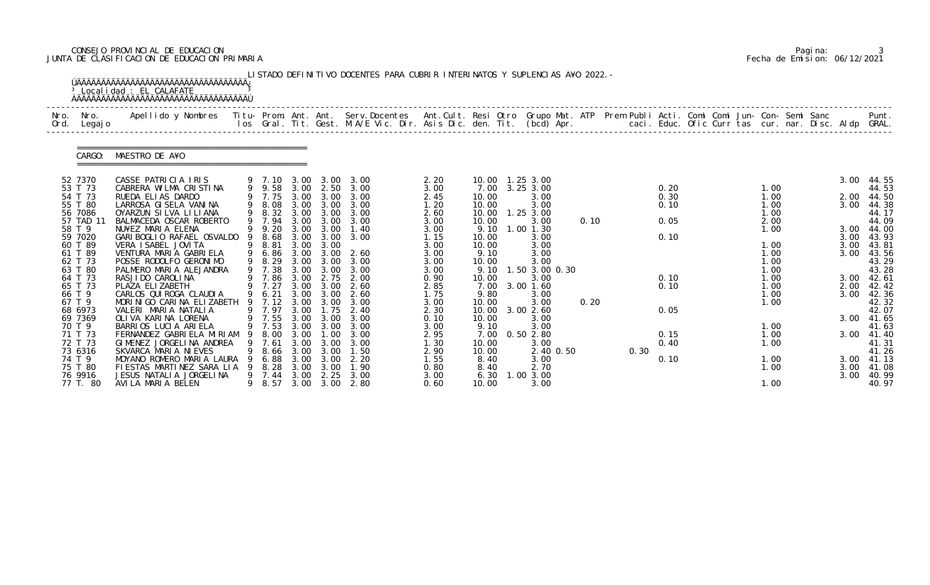## CONSEJO PROVINCIAL DE EDUCACION Pagina: 3 JUNTA DE CLASIFICACION DE EDUCACION PRIMARIA Fecha de Emision: 06/12/2021

| Nro.<br>Ord. | Nro.<br>Legaj o     | Apellido y Nombres - Titu- Prom. Ant. Ant. Serv.Docentes - Ant.Cult. Resi Otro Grupo Mat. ATP Prem Publi Acti. Comi Comi Jun- Con- Semi Sanc - - - - Punt.<br>Ios Gral. Tit. Gest. M.A/E Vic. Dir. Asis Dic. den. Tit. (bcd) Apr. |     |                  |              |              |                   |              |                   |                        |      |      |              |  |              |  |      |                |
|--------------|---------------------|-----------------------------------------------------------------------------------------------------------------------------------------------------------------------------------------------------------------------------------|-----|------------------|--------------|--------------|-------------------|--------------|-------------------|------------------------|------|------|--------------|--|--------------|--|------|----------------|
|              | CARGO:              | MAESTRO DE A¥O                                                                                                                                                                                                                    |     |                  |              |              |                   |              |                   |                        |      |      |              |  |              |  |      |                |
|              | 52 7370             | CASSE PATRICIA IRIS                                                                                                                                                                                                               |     | 9 7.10           | 3.00         | 3.00         | 3.00              | 2.20         | 10.00  1.25  3.00 |                        |      |      |              |  |              |  | 3.00 | 44.55          |
|              | 53 T 73<br>54 T 73  | CABRERA WILMA CRISTINA<br>RUEDA ELIAS DARDO                                                                                                                                                                                       |     | 9 9.58<br>9 7.75 | 3.00<br>3.00 | 2.50<br>3.00 | 3.00<br>3.00      | 3.00<br>2.45 | 7.00<br>10.00     | 3.25 3.00<br>3.00      |      |      | 0.20<br>0.30 |  | 1.00<br>1.00 |  | 2.00 | 44.53<br>44.50 |
|              | 55 T 80             | LARROSA GI SELA VANI NA                                                                                                                                                                                                           |     | 9 8.08           | 3.00         | 3.00         | 3.00              | 1.20         | 10.00             | 3.00                   |      |      | 0.10         |  | 1.00         |  | 3.00 | 44.38          |
|              | 56 7086             | OYARZUN SILVA LILIANA                                                                                                                                                                                                             |     | 9 8.32           | 3.00         | 3.00         | 3.00              | 2.60         | 10.00             | 1.25 3.00              |      |      |              |  | 1.00         |  |      | 44.17          |
|              | 57 TAD 11<br>58 T 9 | BALMACEDA OSCAR ROBERTO<br>NU¥EZ MARIA ELENA                                                                                                                                                                                      |     | 9 7.94<br>9 9.20 | 3.00<br>3.00 | 3.00<br>3.00 | 3.00<br>1.40      | 3.00         | 10.00<br>9.10     | 3.00<br>1.00 1.30      | 0.10 |      | 0.05         |  | 2.00<br>1.00 |  | 3.00 | 44.09<br>44.00 |
|              | 59 7020             | GARI BOGLIO RAFAEL OSVALDO                                                                                                                                                                                                        | 9   | 8.68             | 3.00         | 3.00         | 3.00              | 3.00<br>1.15 | 10.00             | 3.00                   |      |      | 0.10         |  |              |  | 3.00 | 43.93          |
|              | 60 T 89             | VERA I SABEL JOVI TA                                                                                                                                                                                                              |     | 9 8.81           | 3.00         | 3.00         |                   | 3.00         | 10.00             | 3.00                   |      |      |              |  | 1.00         |  | 3.00 | 43.81          |
|              | 61 T 89             | VENTURA MARIA GABRIELA                                                                                                                                                                                                            |     | 9 6.86           | 3.00         | 3.00         | 2.60              | 3.00         | 9.10              | 3.00                   |      |      |              |  | 1.00         |  | 3.00 | 43.56          |
|              | 62 T 73<br>63 T 80  | POSSE RODOLFO GERONIMO<br>PALMERO MARIA ALEJANDRA                                                                                                                                                                                 |     | 9 8.29<br>9 7.38 | 3.00<br>3.00 | 3.00<br>3.00 | 3.00<br>3.00      | 3.00<br>3.00 | 10.00<br>9.10     | 3.00<br>1.50 3.00 0.30 |      |      |              |  | 1.00<br>1.00 |  |      | 43.29<br>43.28 |
|              | 64 T 73             | RASJI DO CAROLI NA                                                                                                                                                                                                                |     | 7.86             | 3.00         | 2.75         | 2.00              | 0.90         | 10.00             | 3.00                   |      |      | 0.10         |  | 1.00         |  | 3.00 | 42.61          |
|              | 65 T 73             | PLAZA ELIZABETH                                                                                                                                                                                                                   |     | 9 7.27           | 3.00         | 3.00         | 2.60              | 2.85         | 7.00              | 3.00 1.60              |      |      | 0.10         |  | 1.00         |  | 2.00 | 42.42          |
|              | 66 T 9<br>67 T 9    | CARLOS QUI ROGA CLAUDI A<br>MORINIGO CARINA ELIZABETH                                                                                                                                                                             |     | 9 6.21<br>9 7.12 | 3.00<br>3.00 | 3.00<br>3.00 | 2.60<br>3.00      | 1.75<br>3.00 | 9.80<br>10.00     | 3.00<br>3.00           | 0.20 |      |              |  | 1.00<br>1.00 |  | 3.00 | 42.36<br>42.32 |
|              | 68 6973             | VALERI MARIA NATALIA                                                                                                                                                                                                              |     | 9 7.97           | 3.00         | 1.75         | 2.40              | 2.30         | 10.00             | 3.00 2.60              |      |      | 0.05         |  |              |  |      | 42.07          |
|              | 69 7369             | OLI VA KARI NA LORENA                                                                                                                                                                                                             |     | 9 7.55 3.00      |              | 3.00         | 3.00              | 0.10         | 10.00             | 3.00                   |      |      |              |  |              |  | 3.00 | 41.65          |
|              | 70 T 9              | BARRIOS LUCIA ARIELA                                                                                                                                                                                                              |     | 9 7.53           |              | 3.00 3.00    | 3.00              | 3.00         | 9.10              | 3.00                   |      |      |              |  | 1.00         |  |      | 41.63          |
|              | 71 T 73<br>72 T 73  | FERNANDEZ GABRIELA MIRIAM<br>GIMENEZ JORGELINA ANDREA                                                                                                                                                                             | - 9 | 8. 00<br>7.61    | 3.00<br>3.00 | 1.00<br>3.00 | 3.00<br>3.00      | 2.95<br>1.30 | 7.00<br>10.00     | 0.502.80<br>3.00       |      |      | 0.15<br>0.40 |  | 1.00<br>1.00 |  | 3.00 | 41.40<br>41.31 |
|              | 73 6316             | SKVARCA MARIA NIEVES                                                                                                                                                                                                              |     | 8. 66            | 3.00         | 3.00         | 1.50              | 2.90         | 10.00             | 2.40 0.50              |      | 0.30 |              |  |              |  |      | 41.26          |
|              | 74 T 9              | MOYANO ROMERO MARIA LAURA                                                                                                                                                                                                         |     | 6.88             | 3.00         | 3.00         | 2. 20             | 1.55         | 8.40              | 3.00                   |      |      | 0.10         |  | 1.00         |  | 3.00 | 41.13          |
|              | 75 T 80             | FIESTAS MARTINEZ SARA LIA                                                                                                                                                                                                         |     | 8. 28            | 3.00         | 3.00         | 1.90              | 0.80         | 8.40              | 2.70<br>1.00 3.00      |      |      |              |  | 1.00         |  | 3.00 | 41.08          |
|              | 76 9916<br>77 T. 80 | JESUS NATALIA JORGELINA<br>AVILA MARIA BELEN                                                                                                                                                                                      |     | 9 7.44<br>9 8.57 | 3.00<br>3.00 | 2.25         | 3.00<br>3.00 2.80 | 3.00<br>0.60 | 6.30<br>10.00     | 3.00                   |      |      |              |  | 1.00         |  | 3.00 | 40.99<br>40.97 |

|  | Pagi na: |                              |
|--|----------|------------------------------|
|  |          | Fecha de Emision: 06/12/2021 |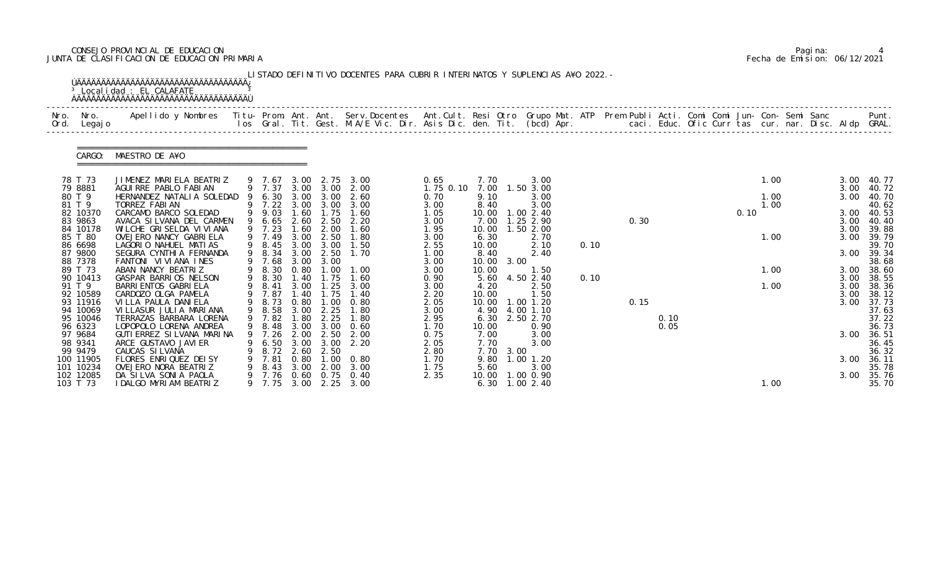## CONSEJO PROVINCIAL DE EDUCACION Pagina: 4 JUNTA DE CLASIFICACION DE EDUCACION PRIMARIA Fecha de Emision: 06/12/2021

| Apellido y Nombres  Titu- Prom. Ant. Ant. Serv.Docentes  Ant.Cult. Resi Otro Grupo Mat. ATP Prem Publi Acti. Comi Comi Jun- Con- Semi Sanc         Punt.<br>Ios Gral. Tit. Gest. M.A/E Vic. Dir. Asis Dic. den. Tit. (bcd) Apr.<br>Nro.<br>Nro.<br>Ord.<br>Legaj o<br>MAESTRO DE A¥O<br>CARGO:<br>78 T 73<br>JIMENEZ MARIELA BEATRIZ<br>1.00<br>3.00<br>0.65<br>7.70<br>3.00<br>9 7.67<br>3.00 2.75<br>3.00<br>9 7.37<br>3.00 3.00<br>79 8881<br>2.00<br>1.75 0.10<br>7.00<br>1.50 3.00<br>AGUIRRE PABLO FABIAN<br>3.00<br>80 T 9<br>6.30<br>3.00<br>1.00<br>HERNANDEZ NATALIA SOLEDAD<br>2.60<br>9.10<br>3.00<br>3.00<br>3.00<br>0.70<br>81 T 9<br>TORREZ FABIAN<br>9 7.22 3.00 3.00<br>3.00<br>8.40<br>3.00<br>1.00<br>3.00<br>82 10370<br>9 9.03<br>1.75<br>CARCAMO BARCO SOLEDAD<br>1.60<br>1.00 2.40<br>0.10<br>1.60<br>1.05<br>10.00<br>3.00<br>6.65<br>1.25 2.90<br>0.30<br>83 9863<br>AVACA SI LVANA DEL CARMEN<br>2.60<br>2.20<br>3.00<br>7.00<br>3.00<br>2.50<br>1.50 2.00<br>84 10178<br>WI LCHE GRI SELDA VI VI ANA<br>9 7.23<br>1.60<br>2.00<br>1.60<br>1.95<br>10.00<br>3.00<br>9 7.49<br>85 T 80<br>OVEJERO NANCY GABRIELA<br>3.00<br>2.50<br>6.30<br>1.00<br>3.00<br>1.80<br>3.00<br>2.70<br>86 6698<br>LAGORIO NAHUEL MATIAS<br>9 8.45<br>3.00<br>1.50<br>2.55<br>10.00<br>2.10<br>0.10<br>3.00<br>87 9800<br>9 8.34<br>SEGURA CYNTHIA FERNANDA<br>2.50<br>1.70<br>3.00<br>1.00<br>8.40<br>3.00<br>2.40<br>88 7378<br>9 7.68<br>FANTONI VIVIANA INES<br>3.00<br>10.00<br>3.00<br>3.00<br>3.00<br>8.30<br>89 T 73<br>10.00<br>ABAN NANCY BEATRIZ<br>0.80<br>3.00<br>1.00<br>.00<br>1.00<br>1.50<br>1.75<br>90 10413<br>GASPAR BARRIOS NELSON<br>9 8.30<br>5.60<br>4.50 2.40<br>1.40<br>1.60<br>0.90<br>0.10<br>3.00<br>91 T 9<br>8.41<br>3.00<br>1.25<br>3.00<br>BARRI ENTOS GABRI ELA<br>9<br>4.20<br>2.50<br>1.00<br>3.00<br>3.00<br>92 10589<br>7.87<br>CARDOZO OLGA PAMELA<br>. 40<br>$\overline{.75}$<br>2.20<br>10.00<br>1.50<br>3.00<br>1.40<br>8.73<br>93 11916<br>0.80<br>1.00<br>$1.00$ $1.20$<br>0.15<br>VI LLA PAULA DANI ELA<br>0.80<br>2.05<br>10.00<br>3.00<br>9<br>94 10069<br>8.58<br>3.00 2.25<br>4.00 1.10<br>VILLASUR JULIA MARIANA<br>9<br>1.80<br>3.00<br>4.90 |                     |
|------------------------------------------------------------------------------------------------------------------------------------------------------------------------------------------------------------------------------------------------------------------------------------------------------------------------------------------------------------------------------------------------------------------------------------------------------------------------------------------------------------------------------------------------------------------------------------------------------------------------------------------------------------------------------------------------------------------------------------------------------------------------------------------------------------------------------------------------------------------------------------------------------------------------------------------------------------------------------------------------------------------------------------------------------------------------------------------------------------------------------------------------------------------------------------------------------------------------------------------------------------------------------------------------------------------------------------------------------------------------------------------------------------------------------------------------------------------------------------------------------------------------------------------------------------------------------------------------------------------------------------------------------------------------------------------------------------------------------------------------------------------------------------------------------------------------------------------------------------------------------------------------------------------------------------------------------------------------------------------------------------------------------------------------------------------------------------------------------------------------------------------------------------------------------------------------------|---------------------|
|                                                                                                                                                                                                                                                                                                                                                                                                                                                                                                                                                                                                                                                                                                                                                                                                                                                                                                                                                                                                                                                                                                                                                                                                                                                                                                                                                                                                                                                                                                                                                                                                                                                                                                                                                                                                                                                                                                                                                                                                                                                                                                                                                                                                      |                     |
|                                                                                                                                                                                                                                                                                                                                                                                                                                                                                                                                                                                                                                                                                                                                                                                                                                                                                                                                                                                                                                                                                                                                                                                                                                                                                                                                                                                                                                                                                                                                                                                                                                                                                                                                                                                                                                                                                                                                                                                                                                                                                                                                                                                                      |                     |
|                                                                                                                                                                                                                                                                                                                                                                                                                                                                                                                                                                                                                                                                                                                                                                                                                                                                                                                                                                                                                                                                                                                                                                                                                                                                                                                                                                                                                                                                                                                                                                                                                                                                                                                                                                                                                                                                                                                                                                                                                                                                                                                                                                                                      | 40.77<br>40.72      |
|                                                                                                                                                                                                                                                                                                                                                                                                                                                                                                                                                                                                                                                                                                                                                                                                                                                                                                                                                                                                                                                                                                                                                                                                                                                                                                                                                                                                                                                                                                                                                                                                                                                                                                                                                                                                                                                                                                                                                                                                                                                                                                                                                                                                      | 40.70               |
|                                                                                                                                                                                                                                                                                                                                                                                                                                                                                                                                                                                                                                                                                                                                                                                                                                                                                                                                                                                                                                                                                                                                                                                                                                                                                                                                                                                                                                                                                                                                                                                                                                                                                                                                                                                                                                                                                                                                                                                                                                                                                                                                                                                                      | 40.62<br>40.53      |
|                                                                                                                                                                                                                                                                                                                                                                                                                                                                                                                                                                                                                                                                                                                                                                                                                                                                                                                                                                                                                                                                                                                                                                                                                                                                                                                                                                                                                                                                                                                                                                                                                                                                                                                                                                                                                                                                                                                                                                                                                                                                                                                                                                                                      | 40.40               |
|                                                                                                                                                                                                                                                                                                                                                                                                                                                                                                                                                                                                                                                                                                                                                                                                                                                                                                                                                                                                                                                                                                                                                                                                                                                                                                                                                                                                                                                                                                                                                                                                                                                                                                                                                                                                                                                                                                                                                                                                                                                                                                                                                                                                      | 39.88<br>39.79      |
|                                                                                                                                                                                                                                                                                                                                                                                                                                                                                                                                                                                                                                                                                                                                                                                                                                                                                                                                                                                                                                                                                                                                                                                                                                                                                                                                                                                                                                                                                                                                                                                                                                                                                                                                                                                                                                                                                                                                                                                                                                                                                                                                                                                                      | 39.70               |
|                                                                                                                                                                                                                                                                                                                                                                                                                                                                                                                                                                                                                                                                                                                                                                                                                                                                                                                                                                                                                                                                                                                                                                                                                                                                                                                                                                                                                                                                                                                                                                                                                                                                                                                                                                                                                                                                                                                                                                                                                                                                                                                                                                                                      | 39.34               |
|                                                                                                                                                                                                                                                                                                                                                                                                                                                                                                                                                                                                                                                                                                                                                                                                                                                                                                                                                                                                                                                                                                                                                                                                                                                                                                                                                                                                                                                                                                                                                                                                                                                                                                                                                                                                                                                                                                                                                                                                                                                                                                                                                                                                      | 38.68<br>3.00 38.60 |
|                                                                                                                                                                                                                                                                                                                                                                                                                                                                                                                                                                                                                                                                                                                                                                                                                                                                                                                                                                                                                                                                                                                                                                                                                                                                                                                                                                                                                                                                                                                                                                                                                                                                                                                                                                                                                                                                                                                                                                                                                                                                                                                                                                                                      | 38.55               |
|                                                                                                                                                                                                                                                                                                                                                                                                                                                                                                                                                                                                                                                                                                                                                                                                                                                                                                                                                                                                                                                                                                                                                                                                                                                                                                                                                                                                                                                                                                                                                                                                                                                                                                                                                                                                                                                                                                                                                                                                                                                                                                                                                                                                      | 38.36               |
|                                                                                                                                                                                                                                                                                                                                                                                                                                                                                                                                                                                                                                                                                                                                                                                                                                                                                                                                                                                                                                                                                                                                                                                                                                                                                                                                                                                                                                                                                                                                                                                                                                                                                                                                                                                                                                                                                                                                                                                                                                                                                                                                                                                                      | 38.12               |
|                                                                                                                                                                                                                                                                                                                                                                                                                                                                                                                                                                                                                                                                                                                                                                                                                                                                                                                                                                                                                                                                                                                                                                                                                                                                                                                                                                                                                                                                                                                                                                                                                                                                                                                                                                                                                                                                                                                                                                                                                                                                                                                                                                                                      | 37.73<br>37.63      |
| 9 7.82<br>.80<br>2.95<br>95 10046<br>TERRAZAS BARBARA LORENA<br>2.25<br>1.80<br>6.30<br>2.50 2.70<br>0.10                                                                                                                                                                                                                                                                                                                                                                                                                                                                                                                                                                                                                                                                                                                                                                                                                                                                                                                                                                                                                                                                                                                                                                                                                                                                                                                                                                                                                                                                                                                                                                                                                                                                                                                                                                                                                                                                                                                                                                                                                                                                                            | 37.22               |
| LOPOPOLO LORENA ANDREA<br>9 8.48<br>3.00<br>3.00<br>0.60<br>1.70<br>0.05<br>96 6323<br>10.00<br>0.90                                                                                                                                                                                                                                                                                                                                                                                                                                                                                                                                                                                                                                                                                                                                                                                                                                                                                                                                                                                                                                                                                                                                                                                                                                                                                                                                                                                                                                                                                                                                                                                                                                                                                                                                                                                                                                                                                                                                                                                                                                                                                                 | 36.73               |
| GUTI ERREZ SI LVANA MARI NA<br>7.26<br>3.00<br>97 9684<br>2.00<br>2.50<br>7.00<br>3.00<br>2.00<br>0.75                                                                                                                                                                                                                                                                                                                                                                                                                                                                                                                                                                                                                                                                                                                                                                                                                                                                                                                                                                                                                                                                                                                                                                                                                                                                                                                                                                                                                                                                                                                                                                                                                                                                                                                                                                                                                                                                                                                                                                                                                                                                                               | 36.51               |
| 98 9341<br>ARCE GUSTAVO JAVI ER<br>3.00<br>3.00<br>2.20<br>7.70<br>3.00<br>6.50<br>2.05<br>99 9479<br>2.50<br>7.70<br>8.72<br>2.60<br>2.80<br>3.00<br>CAUCAS SILVANA                                                                                                                                                                                                                                                                                                                                                                                                                                                                                                                                                                                                                                                                                                                                                                                                                                                                                                                                                                                                                                                                                                                                                                                                                                                                                                                                                                                                                                                                                                                                                                                                                                                                                                                                                                                                                                                                                                                                                                                                                                 | 36.45<br>36.32      |
| 7.81<br>100 11905<br>FLORES ENRIQUEZ DEISY<br>0.80<br>1.00<br>9.80<br>$1.00$ $1.20$<br>3.00<br>1.70<br>0. 80                                                                                                                                                                                                                                                                                                                                                                                                                                                                                                                                                                                                                                                                                                                                                                                                                                                                                                                                                                                                                                                                                                                                                                                                                                                                                                                                                                                                                                                                                                                                                                                                                                                                                                                                                                                                                                                                                                                                                                                                                                                                                         | 36.11               |
| 101 10234<br>OVEJERO NORA BEATRIZ<br>8.43<br>2.00<br>1.75<br>5.60<br>3.00<br>3.00<br>3.00                                                                                                                                                                                                                                                                                                                                                                                                                                                                                                                                                                                                                                                                                                                                                                                                                                                                                                                                                                                                                                                                                                                                                                                                                                                                                                                                                                                                                                                                                                                                                                                                                                                                                                                                                                                                                                                                                                                                                                                                                                                                                                            | 35.78               |
| 102 12085<br>0.60<br>0.75<br>10.00<br>DA SILVA SONIA PAOLA<br>7.76<br>2.35<br>1.00 0.90<br>0.40<br>3.00<br>103 T 73<br>3.00 2.25 3.00<br>I DALGO MYRIAM BEATRIZ<br>9 7.75<br>6.30 1.00 2.40<br>1.00                                                                                                                                                                                                                                                                                                                                                                                                                                                                                                                                                                                                                                                                                                                                                                                                                                                                                                                                                                                                                                                                                                                                                                                                                                                                                                                                                                                                                                                                                                                                                                                                                                                                                                                                                                                                                                                                                                                                                                                                  | 35.76<br>35.70      |

|  | Pagi na: |                              |
|--|----------|------------------------------|
|  |          | Fecha de Emision: 06/12/2021 |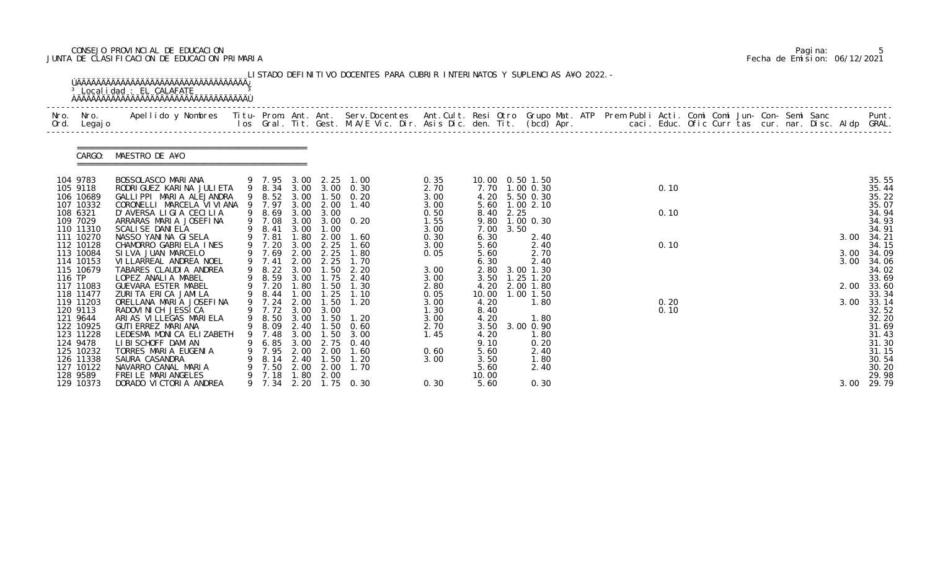## CONSEJO PROVINCIAL DE EDUCACION Pagina: 5 JUNTA DE CLASIFICACION DE EDUCACION PRIMARIA Fecha de Emision: 06/12/2021

| Ord.   | Nro. Nro.<br>Legaj o   | Apellido y Nombres - Titu- Prom. Ant. Ant. Serv.Docentes - Ant.Cult. Resi Otro Grupo Mat. ATP - Prem Publi Acti. Comi Comi Jun- Con- Semi Sanc - - - Punt.<br>Ios Gral. Tit. Gest. M.A/E Vic. Dir. Asis Dic. den. Tit. (bcd) Apr. |   |                       |              |              |                                                |              |              |           |                                  |  |  |              |  |  |  |      |                |
|--------|------------------------|-----------------------------------------------------------------------------------------------------------------------------------------------------------------------------------------------------------------------------------|---|-----------------------|--------------|--------------|------------------------------------------------|--------------|--------------|-----------|----------------------------------|--|--|--------------|--|--|--|------|----------------|
|        |                        | CARGO: MAESTRO DE A¥O                                                                                                                                                                                                             |   |                       |              |              |                                                |              |              |           |                                  |  |  |              |  |  |  |      |                |
|        | 104 9783               | BOSSOLASCO MARIANA                                                                                                                                                                                                                |   |                       |              |              | 9 7.95 3.00 2.25 1.00<br>9 8.34 3.00 3.00 0.30 | 0.35         |              |           | 10.00  0.50  1.50                |  |  | 0.10         |  |  |  |      | 35.55          |
|        | 105 9118<br>106 10689  | RODRI GUEZ KARI NA JULI ETA<br>GALLIPPI MARIA ALEJANDRA                                                                                                                                                                           |   |                       |              |              | 9 8.52 3.00 1.50 0.20                          | 2.70<br>3.00 |              |           | 7.70 1.00 0.30<br>4.20 5.50 0.30 |  |  |              |  |  |  |      | 35.44<br>35.22 |
|        | 107 10332              | CORONELLI MARCELA VI VI ANA                                                                                                                                                                                                       |   | 9 7.97                | 3.00         | 2.00         | 1.40                                           | 3.00         |              |           | 5.60 1.00 2.10                   |  |  |              |  |  |  |      | 35.07          |
|        | 108 6321               | D'AVERSA LIGIA CECILIA                                                                                                                                                                                                            |   | 9 8.69                | 3.00         | 3.00         |                                                | 0.50         |              | 8.40 2.25 |                                  |  |  | 0.10         |  |  |  |      | 34.94          |
|        | 109 7029<br>110 11310  | ARRARAS MARIA JOSEFINA<br>SCALI SE DANI ELA                                                                                                                                                                                       |   | 9 8.41                | 3.00         | 1.00         | 9 7.08 3.00 3.00 0.20                          | 1.55<br>3.00 | 7.00         | 3.50      | 9.80 1.00 0.30                   |  |  |              |  |  |  |      | 34.93<br>34.91 |
|        | 111 10270              | NASSO YANINA GISELA                                                                                                                                                                                                               |   | 9 7.81                | 1.80         | 2.00         | 1.60                                           | 0.30         | 6.30         |           | 2.40                             |  |  |              |  |  |  | 3.00 | 34.21          |
|        | 112 10128              | CHAMORRO GABRIELA INES                                                                                                                                                                                                            |   | 9 7.20                | 3.00         | 2.25         | 1.60                                           | 3.00         | 5.60         |           | 2.40                             |  |  | 0.10         |  |  |  |      | 34.15          |
|        | 113 10084              | SILVA JUAN MARCELO                                                                                                                                                                                                                |   | 9 7.69                | 2.00         | 2.25         | 1.80                                           | 0.05         | 5.60         |           | 2.70                             |  |  |              |  |  |  | 3.00 | 34.09          |
|        | 114 10153<br>115 10679 | VI LLARREAL ANDREA NOEL<br>TABARES CLAUDIA ANDREA                                                                                                                                                                                 |   | 9 7.41<br>9 8.22 3.00 | 2.00         | 2.25<br>1.50 | 1.70<br>2.20                                   | 3.00         | 6.30         |           | 2.40<br>2.80 3.00 1.30           |  |  |              |  |  |  | 3.00 | 34.06<br>34.02 |
| 116 TP |                        | LOPEZ ANALIA MABEL                                                                                                                                                                                                                |   | 9 8.59                | 3.00         | 1.75         | 2.40                                           | 3.00         | 3.50         |           | $1.25$ $1.20$                    |  |  |              |  |  |  |      | 33.69          |
|        | 117 11083              | GUEVARA ESTER MABEL                                                                                                                                                                                                               |   | 9 7.20                | 1.80         | 1.50         | 1.30                                           | 2.80         | 4.20         |           | 2.00 1.80                        |  |  |              |  |  |  | 2.00 | 33.60          |
|        | 118 11477              | ZURITA ERICA JAMILA                                                                                                                                                                                                               |   | 9 8.44                | 1.00         | 1.25         | 1.10                                           | 0.05         | 10.00        |           | 1.00 1.50                        |  |  |              |  |  |  |      | 33.34          |
|        | 119 11203<br>120 9113  | ORELLANA MARIA JOSEFINA<br>RADOVI NI CH JESSI CA                                                                                                                                                                                  |   | 9 7.24<br>9 7.72 3.00 | 2.00         | 1.50<br>3.00 | 1.20                                           | 3.00<br>1.30 | 4.20<br>8.40 |           | 1.80                             |  |  | 0.20<br>0.10 |  |  |  | 3.00 | 33.14<br>32.52 |
|        | 121 9644               | ARIAS VILLEGAS MARIELA                                                                                                                                                                                                            |   | 9 8.50 3.00           |              | 1.50         | 1. 20                                          | 3.00         | 4.20         |           | 1.80                             |  |  |              |  |  |  |      | 32.20          |
|        | 122 10925              | GUTI ERREZ MARI ANA                                                                                                                                                                                                               |   | 9 8.09 2.40           |              | 1.50         | 0.60                                           | 2.70         |              |           | 3.50 3.00 0.90                   |  |  |              |  |  |  |      | 31.69          |
|        | 123 11228              | LEDESMA MONICA ELIZABETH                                                                                                                                                                                                          |   |                       | 3.00         |              | 3.00                                           | 1.45         | 4.20         |           | 1.80                             |  |  |              |  |  |  |      | 31.43          |
|        | 124 9478<br>125 10232  | LI BI SCHOFF DAMI AN<br>TORRES MARIA EUGENIA                                                                                                                                                                                      |   | 6.85<br>7.95          | 3.00<br>2.00 | 2.75<br>2.00 | 0.40<br>1.60                                   |              | 9.10         |           | 0.20<br>2.40                     |  |  |              |  |  |  |      | 31.30<br>31.15 |
|        | 126 11338              | SAURA CASANDRA                                                                                                                                                                                                                    |   | 8.14                  | 2.40         | 1.50         | 1. 20                                          | 0.60<br>3.00 | 5.60<br>3.50 |           | 1.80                             |  |  |              |  |  |  |      | 30.54          |
|        | 127 10122              | NAVARRO CANAL MARIA                                                                                                                                                                                                               |   | 7.50                  | 2.00         | 2.00         | 1.70                                           |              | 5.60         |           | 2.40                             |  |  |              |  |  |  |      | 30.20          |
|        | 128 9589               | FREILE MARIANGELES                                                                                                                                                                                                                |   | 7.18                  | 1.80         | 2.00         |                                                |              | 10.00        |           |                                  |  |  |              |  |  |  |      | 29.98          |
|        | 129 10373              | DORADO VICTORIA ANDREA                                                                                                                                                                                                            | 9 | 7.34                  | 2.20         |              | $1.75 \t 0.30$                                 | 0.30         | 5.60         |           | 0.30                             |  |  |              |  |  |  | 3.00 | 29.79          |

|  | Pagi na: |                              |
|--|----------|------------------------------|
|  |          | Fecha de Emision: 06/12/2021 |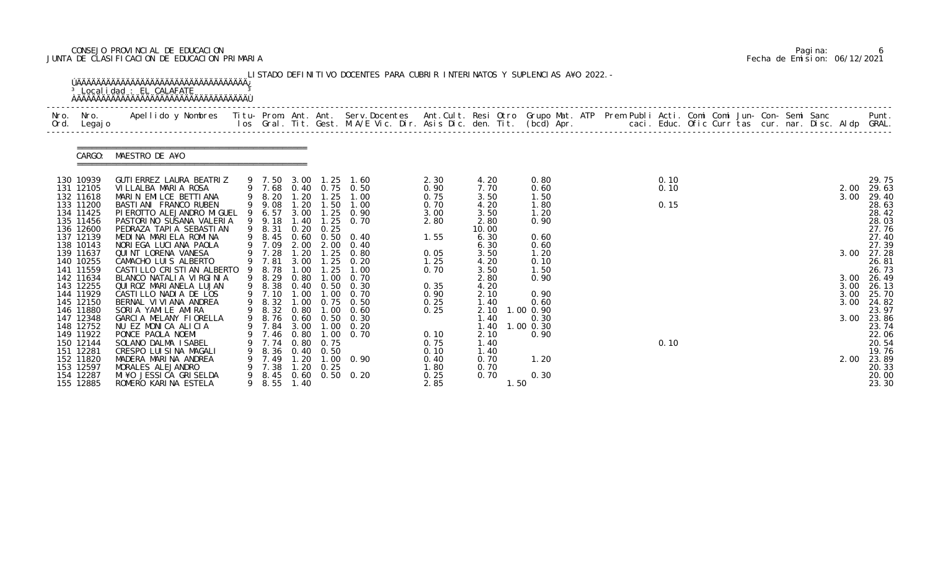# CONSEJO PROVINCIAL DE EDUCACION Pagina: 6 JUNTA DE CLASIFICACION DE EDUCACION PRIMARIA Fecha de Emision: 06/12/2021

| Nro.<br>Ord. | Nro.<br>Legaj o        | Apellido y Nombres - Titu- Prom. Ant. Ant. Serv.Docentes - Ant.Cult. Resi Otro Grupo Mat. ATP Prem Publi Acti. Comi Comi Jun- Con- Semi Sanc - - - Punt.<br>Ios Gral. Tit. Gest. M.A/E Vic. Dir. Asis Dic. den. Tit. (bcd) Apr. - |   |                          |              |                                       |                        |              |               |                   |  |      |  |  |  |              |                |
|--------------|------------------------|-----------------------------------------------------------------------------------------------------------------------------------------------------------------------------------------------------------------------------------|---|--------------------------|--------------|---------------------------------------|------------------------|--------------|---------------|-------------------|--|------|--|--|--|--------------|----------------|
|              | CARGO:                 | MAESTRO DE A¥O                                                                                                                                                                                                                    |   |                          |              |                                       |                        |              |               |                   |  |      |  |  |  |              |                |
|              | 130 10939              | GUTI ERREZ LAURA BEATRIZ                                                                                                                                                                                                          |   | 9 7.50                   | 3.00         | 1. 25                                 | 1.60                   | 2.30         | 4.20          | 0.80              |  | 0.10 |  |  |  |              | 29.75          |
|              | 131 12105<br>132 11618 | VILLALBA MARIA ROSA<br>MARIN EMILCE BETTIANA                                                                                                                                                                                      |   | 9 7.68<br>9 8.20         | 1.20         | 1.25                                  | 0.40 0.75 0.50<br>1.00 | 0.90<br>0.75 | 7.70<br>3.50  | 0.60<br>1.50      |  | 0.10 |  |  |  | 2.00<br>3.00 | 29.63<br>29.40 |
|              | 133 11200              | BASTI ANI FRANCO RUBEN                                                                                                                                                                                                            |   | 9 9.08                   | 1.20         | 1.50                                  | 1.00                   | 0.70         | 4.20          | 1.80              |  | 0.15 |  |  |  |              | 28.63          |
|              | 134 11425              | PI EROTTO ALEJANDRO MI GUEL                                                                                                                                                                                                       |   | 6.57                     | 3.00         | 1.25                                  | 0.90                   | 3.00         | 3.50          | 1.20              |  |      |  |  |  |              | 28.42          |
|              | 135 11456              | PASTORINO SUSANA VALERIA                                                                                                                                                                                                          |   | 9 9.18                   | 1.40         | 1.25                                  | 0.70                   | 2.80         | 2.80          | 0.90              |  |      |  |  |  |              | 28.03          |
|              | 136 12600<br>137 12139 | PEDRAZA TAPI A SEBASTI AN<br>MEDINA MARIELA ROMINA                                                                                                                                                                                |   | 9 8.31<br>9 8.45         | 0.20<br>0.60 | 0.25<br>0. 50                         | 0.40                   | 1.55         | 10.00<br>6.30 | 0.60              |  |      |  |  |  |              | 27.76<br>27.40 |
|              | 138 10143              | NORIEGA LUCIANA PAOLA                                                                                                                                                                                                             |   | 9 7.09                   | 2.00         | 2.00                                  | 0.40                   |              | 6.30          | 0.60              |  |      |  |  |  |              | 27.39          |
|              | 139 11637              | QUINT LORENA VANESA                                                                                                                                                                                                               |   | 7.28                     | 1.20         | 1.25                                  | 0.80                   | 0.05         | 3.50          | 1.20              |  |      |  |  |  | 3.00         | 27.28          |
|              | 140 10255              | CAMACHO LUIS ALBERTO                                                                                                                                                                                                              |   | 7.81                     | 3.00         | .25                                   | 0.20                   | 1.25         | 4.20          | 0.10              |  |      |  |  |  |              | 26.81          |
|              | 141 11559<br>142 11634 | CASTILLO CRISTIAN ALBERTO<br>BLANCO NATALIA VIRGINIA                                                                                                                                                                              | 9 | 8.78<br>8.29             | 1.00<br>0.80 | 1.25<br>1.00                          | 1.00<br>0.70           | 0.70         | 3.50<br>2.80  | 1.50<br>0.90      |  |      |  |  |  | 3.00         | 26.73<br>26.49 |
|              | 143 12255              | QUI ROZ MARI ANELA LUJAN                                                                                                                                                                                                          |   | 9 8.38                   | 0.40         | 0.50                                  | 0.30                   | 0.35         | 4.20          |                   |  |      |  |  |  | 3.00         | 26.13          |
|              | 144 11929              | CASTILLO NADIA DE LOS                                                                                                                                                                                                             |   | 9 7.10                   | 1.00         | 1.00                                  | 0.70                   | 0.90         | 2.10          | 0.90              |  |      |  |  |  | 3.00         | 25.70          |
|              | 145 12150              | BERNAL VI VI ANA ANDREA                                                                                                                                                                                                           | 9 | 8.32                     |              |                                       | 1.00 0.75 0.50         | 0.25         | 1.40          | 0.60              |  |      |  |  |  | 3.00         | 24.82          |
|              | 146 11880<br>147 12348 | SORIA YAMILE AMIRA<br>GARCIA MELANY FIORELLA                                                                                                                                                                                      |   | 8.32<br>9 8.76 0.60 0.50 | 0.80         | 1.00                                  | 0.60<br>0.30           | 0.25         | 2.10<br>1.40  | 1.00 0.90         |  |      |  |  |  | 3.00         | 23.97          |
|              | 148 12752              | NU EZ MONICA ALICIA                                                                                                                                                                                                               |   | 9 7.84                   | 3.00         | 1.00                                  | 0.20                   |              | 1.40          | 0.30<br>1.00 0.30 |  |      |  |  |  |              | 23.86<br>23.74 |
|              | 149 11922              | PONCE PAOLA NOEMI                                                                                                                                                                                                                 |   |                          | 7.46 0.80    | $\overline{\phantom{0}}$ . $00$       | 0.70                   | 0.10         | 2.10          | 0.90              |  |      |  |  |  |              | 22.06          |
|              | 150 12144              | SOLANO DALMA ISABEL                                                                                                                                                                                                               |   | 7.74                     | 0.80         | 0.75                                  |                        | 0.75         | 1.40          |                   |  | 0.10 |  |  |  |              | 20.54          |
|              | 151 12281              | CRESPO LUISINA MAGALI                                                                                                                                                                                                             |   | 8.36                     |              | $0.40 \quad 0.50$                     |                        | 0.10         | 1.40          |                   |  |      |  |  |  |              | 19.76          |
|              | 152 11820<br>153 12597 | MADERA MARINA ANDREA<br>MORALES ALEJANDRO                                                                                                                                                                                         |   | 7.49<br>7.38             | . 20<br>1.20 | $\overline{\phantom{0}}$ . OO<br>0.25 | 0. 90                  | 0.40<br>1.80 | 0.70<br>0.70  | 1.20              |  |      |  |  |  | 2.00         | 23.89<br>20.33 |
|              | 154 12287              | MI ¥O JESSI CA GRI SELDA                                                                                                                                                                                                          | 9 | 8.45                     |              |                                       | 0.60 0.50 0.20         | 0.25         | 0.70          | 0.30              |  |      |  |  |  |              | 20.00          |
|              | 155 12885              | ROMERO KARINA ESTELA                                                                                                                                                                                                              |   | 9 8.55                   | 1.40         |                                       |                        | 2.85         | 1.50          |                   |  |      |  |  |  |              | 23.30          |

|  | Pagi na: |                              |
|--|----------|------------------------------|
|  |          | Fecha de Emision: 06/12/2021 |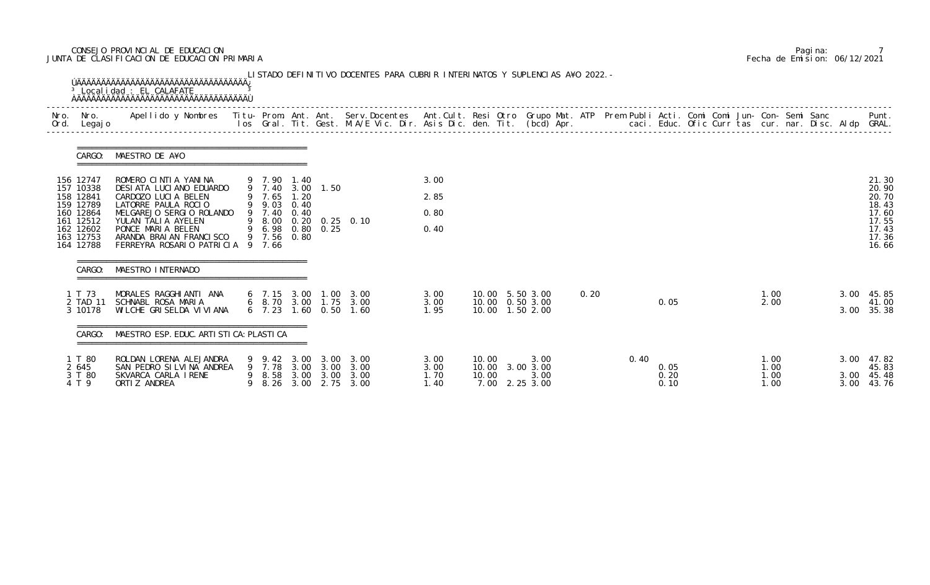## CONSEJO PROVINCIAL DE EDUCACION Pagina: 7 JUNTA DE CLASIFICACION DE EDUCACION PRIMARIA Fecha de Emision: 06/12/2021

| Nro.<br>Ord. | Nro.<br>Legaj o                     | Apellido y Nombres Titu- Prom. Ant. Ant. Serv.Docentes Ant.Cult. Resi Otro Grupo Mat. ATP Prem Publi Acti. Comi Comi Jun- Con- Semi Sanc |                                 |              |              | los Gral. Tit. Gest. M.A/E Vic. Dir. Asis Dic. den. Tit. (bcd) Apr.        caci. Educ. Ofic Curr tas cur. nar. Disc. Aldp GRAL. |              |       |                                        |      |      |              |  |              |  |      | Punt.                   |
|--------------|-------------------------------------|------------------------------------------------------------------------------------------------------------------------------------------|---------------------------------|--------------|--------------|---------------------------------------------------------------------------------------------------------------------------------|--------------|-------|----------------------------------------|------|------|--------------|--|--------------|--|------|-------------------------|
|              | CARGO:                              | =====================================<br>MAESTRO DE A¥O                                                                                  |                                 |              |              |                                                                                                                                 |              |       |                                        |      |      |              |  |              |  |      |                         |
|              | 156 12747<br>157 10338              | ROMERO CINTIA YANINA<br>DESIATA LUCIANO EDUARDO                                                                                          | 9 7.90 1.40<br>9 7.40 3.00 1.50 |              |              |                                                                                                                                 | 3.00         |       |                                        |      |      |              |  |              |  |      | 21.30<br>20.90          |
|              | 158 12841<br>159 12789              | CARDOZO LUCIA BELEN<br>LATORRE PAULA ROCIO                                                                                               | 9 7.65<br>9 9.03                | 1.20<br>0.40 |              |                                                                                                                                 | 2.85         |       |                                        |      |      |              |  |              |  |      | 20.70<br>18.43          |
|              | 160 12864<br>161 12512              | MELGAREJO SERGIO ROLANDO<br>YULAN TALIA AYELEN                                                                                           | 9 7.40                          | 0.40         |              | 9 8.00 0.20 0.25 0.10                                                                                                           | 0.80         |       |                                        |      |      |              |  |              |  |      | 17.60<br>17.55          |
|              | 162 12602<br>163 12753<br>164 12788 | PONCE MARIA BELEN<br>ARANDA BRAIAN FRANCISCO<br>FERREYRA ROSARIO PATRICIA 9 7.66                                                         | 9 6.98 0.80 0.25<br>9 7.56      | 0.80         |              |                                                                                                                                 | 0.40         |       |                                        |      |      |              |  |              |  |      | 17.43<br>17.36<br>16.66 |
|              | CARGO:                              | MAESTRO INTERNADO                                                                                                                        |                                 |              |              |                                                                                                                                 |              |       |                                        |      |      |              |  |              |  |      |                         |
|              | 1 T 73                              | MORALES RAGGHIANTI ANA                                                                                                                   |                                 |              |              | 6 7.15 3.00 1.00 3.00                                                                                                           | 3.00         |       | 10.00 5.50 3.00                        | 0.20 |      |              |  | 1.00         |  | 3.00 | 45.85                   |
|              | 2 TAD 11<br>3 10178                 | SCHNABL ROSA MARIA<br>WI LCHE GRI SELDA VI VI ANA                                                                                        | 6, 7.23                         |              |              | 6 8.70 3.00 1.75 3.00<br>1.60 0.50 1.60                                                                                         | 3.00<br>1.95 |       | 10.00  0.50  3.00<br>10.00  1.50  2.00 |      |      | 0.05         |  | 2.00         |  | 3.00 | 41.00<br>35.38          |
|              | CARGO:                              | MAESTRO ESP. EDUC. ARTI STI CA: PLASTI CA                                                                                                |                                 |              |              |                                                                                                                                 |              |       |                                        |      |      |              |  |              |  |      |                         |
|              | 1 T 80<br>2 645                     | ROLDAN LORENA ALEJANDRA<br>SAN PEDRO SILVINA ANDREA                                                                                      | 9 9.42 3.00<br>9 7.78           | 3.00         | 3.00<br>3.00 | 3.00<br>3.00                                                                                                                    | 3.00<br>3.00 | 10.00 | 3.00<br>10.00 3.00 3.00                |      | 0.40 | 0.05         |  | 1.00<br>1.00 |  | 3.00 | 47.82<br>45.83          |
|              | 3 T 80<br>4 T 9                     | SKVARCA CARLA IRENE<br>ORTI Z ANDREA                                                                                                     | 9 8.58<br>8.26                  | 3.00<br>3.00 | 3.00         | 3.00<br>2.75 3.00                                                                                                               | 1.70<br>1.40 | 10.00 | 3.00<br>7.00 2.25 3.00                 |      |      | 0.20<br>0.10 |  | 1.00<br>1.00 |  | 3.00 | 45.48<br>3.00 43.76     |

|  | Pagi na: |                              |
|--|----------|------------------------------|
|  |          | Fecha de Emision: 06/12/2021 |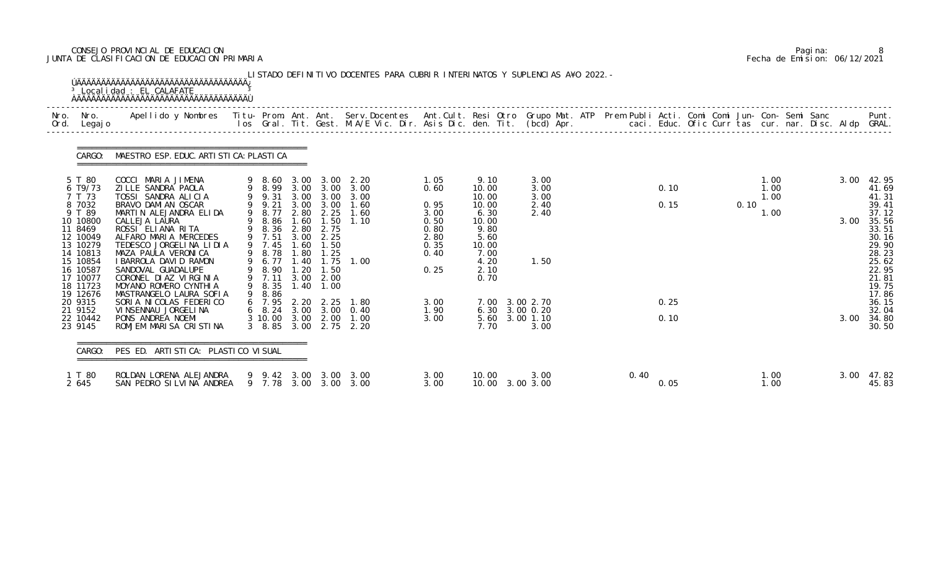## CONSEJO PROVINCIAL DE EDUCACION Pagina: 8 JUNTA DE CLASIFICACION DE EDUCACION PRIMARIA Fecha de Emision: 06/12/2021

| Nro.<br>Ord. | Nro.<br>Legaj o                                                                                                                                                        | Apellido y Nombres  Titu- Prom. Ant. Ant.  Serv.Docentes  Ant.Cult. Resi Otro  Grupo Mat. ATP  Prem Publi Acti. Comi Comi Jun- Con- Semi Sanc              Punt.<br>Ios Gral. Tit. Gest. M.A/E Vic. Dir. Asis Dic. den. Tit. (bcd                                                                                                                              |                                                                                                                                                  |                                                                                             |                                                                                                                        |                                                      |                                                                              |                                                                                                           |                                              |      |              |  |      |                              |  |              |                                                                                                                                     |
|--------------|------------------------------------------------------------------------------------------------------------------------------------------------------------------------|----------------------------------------------------------------------------------------------------------------------------------------------------------------------------------------------------------------------------------------------------------------------------------------------------------------------------------------------------------------|--------------------------------------------------------------------------------------------------------------------------------------------------|---------------------------------------------------------------------------------------------|------------------------------------------------------------------------------------------------------------------------|------------------------------------------------------|------------------------------------------------------------------------------|-----------------------------------------------------------------------------------------------------------|----------------------------------------------|------|--------------|--|------|------------------------------|--|--------------|-------------------------------------------------------------------------------------------------------------------------------------|
|              | CARGO:                                                                                                                                                                 | MAESTRO ESP. EDUC. ARTI STI CA: PLASTI CA                                                                                                                                                                                                                                                                                                                      |                                                                                                                                                  |                                                                                             |                                                                                                                        |                                                      |                                                                              |                                                                                                           |                                              |      |              |  |      |                              |  |              |                                                                                                                                     |
|              | 5 T 80<br>6 T9/73<br>7 T 73<br>8 7032<br>9 T 89<br>10 10800<br>11 8469<br>12 10049<br>13 10279<br>14 10813<br>15 10854<br>16 10587<br>17 10077<br>18 11723<br>19 12676 | COCCI MARIA JIMENA<br>ZI LLE SANDRA PAOLA<br>TOSSI SANDRA ALICIA<br>BRAVO DAMI AN OSCAR<br>MARTIN ALEJANDRA ELIDA<br>CALLEJA LAURA<br>ROSSI ELIANA RITA<br>ALFARO MARIA MERCEDES<br>TEDESCO JORGELINA LIDIA<br>MAZA PAULA VERONICA<br>I BARROLA DAVID RAMON<br>SANDOVAL GUADALUPE<br>CORONEL DIAZ VIRGINIA<br>MOYANO ROMERO CYNTHIA<br>MASTRANGELO LAURA SOFIA | $9$ 8.60<br>9 8.99<br>9 9.31<br>9 9.21<br>9 8.77<br>8.86<br>8.36<br>9 7.51<br>9 7.45<br>9 8.78<br>9 6.77<br>9 8.90<br>9 7.11<br>9 8.35<br>9 8.86 | 3.00<br>3.00<br>3.00<br>2.80<br>1.60<br>2.80<br>3.00<br>.60<br>1.80<br>1.40<br>1.20<br>1.40 | 3.00<br>3.00<br>3.00<br>3.00 3.00<br>2.25<br>1.50<br>2.75<br>2.25<br>1.50<br>1.25<br>1.75<br>1.50<br>3.00 2.00<br>1.00 | 2.20<br>3.00<br>3.00<br>1.60<br>1.60<br>1.10<br>1.00 | 1.05<br>0.60<br>0.95<br>3.00<br>0.50<br>0.80<br>2.80<br>0.35<br>0.40<br>0.25 | 9.10<br>10.00<br>10.00<br>10.00<br>6.30<br>10.00<br>9.80<br>5.60<br>10.00<br>7.00<br>4.20<br>2.10<br>0.70 | 3.00<br>3.00<br>3.00<br>2.40<br>2.40<br>1.50 |      | 0.10<br>0.15 |  | 0.10 | 1.00<br>1.00<br>1.00<br>1.00 |  | 3.00<br>3.00 | 42.95<br>41.69<br>41.31<br>39.41<br>37.12<br>35.56<br>33.51<br>30.16<br>29.90<br>28.23<br>25.62<br>22.95<br>21.81<br>19.75<br>17.86 |
|              | 20 9315<br>21 9152<br>22 10442<br>23 9145                                                                                                                              | SORIA NICOLAS FEDERICO<br>VI NSENNAU JORGELI NA<br>PONS ANDREA NOEMI<br>ROMJEM MARISA CRISTINA                                                                                                                                                                                                                                                                 | 6 7.95<br>6 8.24<br>3 10 00 3 00 2 00<br>$3\quad 8.85$                                                                                           | 3.00                                                                                        | 3.00 2.75                                                                                                              | 2. 20 2. 25 1. 80<br>3.00 0.40<br>1.00<br>2.20       | 3.00<br>1.90<br>3.00                                                         | 7.00<br>6.30 3.00 0.20<br>5.60<br>7.70                                                                    | 3.00 2.70<br>3.00 1.10<br>3.00               |      | 0.25<br>0.10 |  |      |                              |  | 3.00         | 36.15<br>32.04<br>34.80<br>30.50                                                                                                    |
|              | CARGO:                                                                                                                                                                 | PES ED. ARTISTICA: PLASTICO VISUAL                                                                                                                                                                                                                                                                                                                             |                                                                                                                                                  |                                                                                             |                                                                                                                        |                                                      |                                                                              |                                                                                                           |                                              |      |              |  |      |                              |  |              |                                                                                                                                     |
|              | 1 T 80<br>2 645                                                                                                                                                        | ROLDAN LORENA ALEJANDRA<br>SAN PEDRO SILVINA ANDREA                                                                                                                                                                                                                                                                                                            | 9 9.42 3.00                                                                                                                                      |                                                                                             | 3.00                                                                                                                   | 3.00<br>9 7.78 3.00 3.00 3.00                        | 3.00<br>3.00                                                                 | 10.00<br>10.00 3.00 3.00                                                                                  | 3.00                                         | 0.40 | 0.05         |  |      | 1.00<br>1.00                 |  | 3.00         | 47.82<br>45.83                                                                                                                      |

|  | Pagi na: |                              |
|--|----------|------------------------------|
|  |          | Fecha de Emision: 06/12/2021 |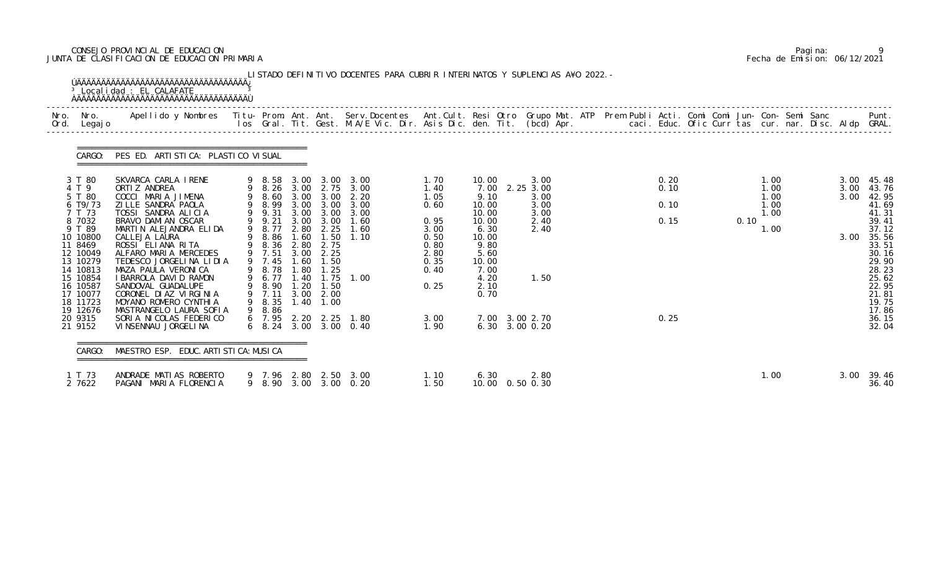## CONSEJO PROVINCIAL DE EDUCACION Pagina: 9 JUNTA DE CLASIFICACION DE EDUCACION PRIMARIA Fecha de Emision: 06/12/2021

| Nro.<br>Ord. | Nro.<br>Legaj o                                                                                                                                                               | Apellido y Nombres  Titu- Prom. Ant. Ant. Serv.Docentes  Ant.Cult. Resi Otro Grupo Mat. ATP Prem Publi Acti. Comi Comi Jun- Con- Semi Sanc         Punt.<br>Ios Gral. Tit. Gest. M.A/E Vic. Dir. Asis Dic. den. Tit. (bcd) Apr.                                                                                                                                             |                                                                                                                                |                                                                      |                                                                                                                 |                                                                                                                                |                                                                                              |                                                                                                                            |                                                                   |  |                              |  |      |                                              |  |                              |                                                                                                                                              |
|--------------|-------------------------------------------------------------------------------------------------------------------------------------------------------------------------------|-----------------------------------------------------------------------------------------------------------------------------------------------------------------------------------------------------------------------------------------------------------------------------------------------------------------------------------------------------------------------------|--------------------------------------------------------------------------------------------------------------------------------|----------------------------------------------------------------------|-----------------------------------------------------------------------------------------------------------------|--------------------------------------------------------------------------------------------------------------------------------|----------------------------------------------------------------------------------------------|----------------------------------------------------------------------------------------------------------------------------|-------------------------------------------------------------------|--|------------------------------|--|------|----------------------------------------------|--|------------------------------|----------------------------------------------------------------------------------------------------------------------------------------------|
|              | CARGO:                                                                                                                                                                        | PES ED. ARTI STI CA: PLASTI CO VI SUAL                                                                                                                                                                                                                                                                                                                                      |                                                                                                                                |                                                                      |                                                                                                                 |                                                                                                                                |                                                                                              |                                                                                                                            |                                                                   |  |                              |  |      |                                              |  |                              |                                                                                                                                              |
|              | 3 T 80<br>4 T 9<br>5 T 80<br>6 T9/73<br>7 T 73<br>8 7032<br>9 T 89<br>10 10800<br>11 8469<br>12 10049<br>13 10279<br>14 10813<br>15 10854<br>16 10587<br>17 10077<br>18 11723 | SKVARCA CARLA IRENE<br>ORTI Z ANDREA<br>COCCI MARIA JIMENA<br>ZILLE SANDRA PAOLA<br>TOSSI SANDRA ALICIA<br>BRAVO DAMI AN OSCAR<br>MARTIN ALEJANDRA ELIDA<br>CALLEJA LAURA<br>ROSSI ELIANA RITA<br>ALFARO MARIA MERCEDES<br>TEDESCO JORGELINA LIDIA<br>MAZA PAULA VERONICA<br>I BARROLA DAVI D RAMON<br>SANDOVAL GUADALUPE<br>CORONEL DIAZ VIRGINIA<br>MOYANO ROMERO CYNTHIA | 9 8.99<br>9 9.31<br>9 9.21<br>9 8.77<br>9 8.86<br>9 8.36<br>9 7.51<br>9 7.45<br>9 8.78<br>9 6.77<br>9 8.90<br>9 7.11<br>9 8.35 | 3.00<br>1.60<br>2.80<br>3.00<br>1.60<br>1.80<br>1.40<br>1.20<br>3.00 | 9 8.60 3.00 3.00<br>3.00 3.00<br>3.00<br>2.80 2.25<br>2.75<br>2.25<br>1.50<br>1.25<br>1.50<br>2.00<br>1.40 1.00 | 9 8.58 3.00 3.00 3.00<br>9 8.26 3.00 2.75 3.00<br>2.20<br>3.00<br>3.00 3.00 3.00<br>1.60<br>1.60<br>$1.50$ $1.10$<br>1.75 1.00 | 1.70<br>1.40<br>1.05<br>0.60<br>0.95<br>3.00<br>0.50<br>0.80<br>2.80<br>0.35<br>0.40<br>0.25 | 10.00<br>7.00<br>9.10<br>10.00<br>10.00<br>10.00<br>6.30<br>10.00<br>9.80<br>5.60<br>10.00<br>7.00<br>4.20<br>2.10<br>0.70 | 3.00<br>2.25 3.00<br>3.00<br>3.00<br>3.00<br>2.40<br>2.40<br>1.50 |  | 0.20<br>0.10<br>0.10<br>0.15 |  | 0.10 | 1.00<br>1.00<br>1.00<br>1.00<br>1.00<br>1.00 |  | 3.00<br>3.00<br>3.00<br>3.00 | 45.48<br>43.76<br>42.95<br>41.69<br>41.31<br>39.41<br>37.12<br>35.56<br>33.51<br>30.16<br>29.90<br>28.23<br>25.62<br>22.95<br>21.81<br>19.75 |
|              | 19 12676<br>20 9315<br>21 9152                                                                                                                                                | MASTRANGELO LAURA SOFIA<br>SORIA NI COLAS FEDERI CO<br>VI NSENNAU JORGELI NA                                                                                                                                                                                                                                                                                                | 9 8.86                                                                                                                         |                                                                      |                                                                                                                 | 6 7.95 2.20 2.25 1.80<br>6 8.24 3.00 3.00 0.40                                                                                 | 3.00<br>1.90                                                                                 | 7.00 3.00 2.70<br>6.30 3.00 0.20                                                                                           |                                                                   |  | 0.25                         |  |      |                                              |  |                              | 17.86<br>36.15<br>32.04                                                                                                                      |

|  | Pagi na: |                              |
|--|----------|------------------------------|
|  |          | Fecha de Emision: 06/12/2021 |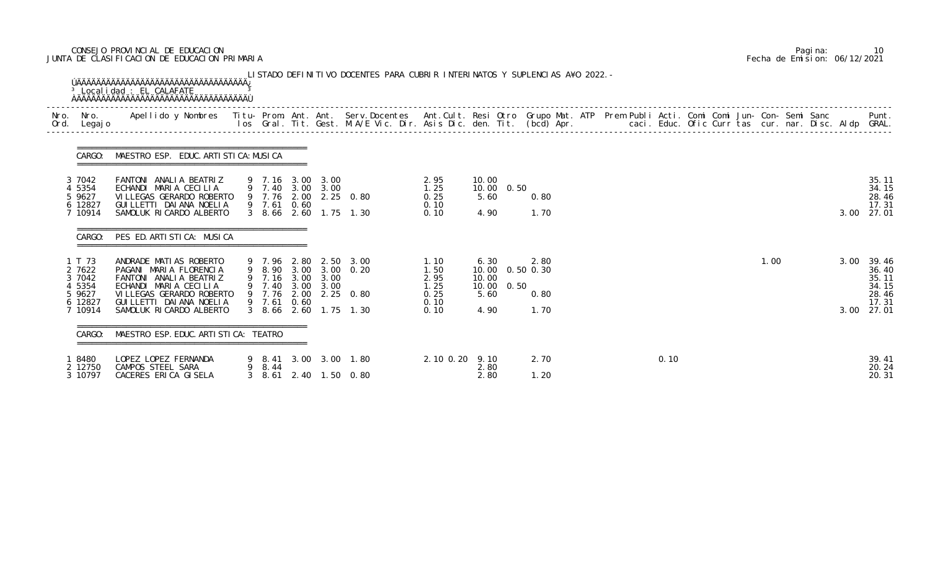## CONSEJO PROVINCIAL DE EDUCACION Pagina: 10 JUNTA DE CLASIFICACION DE EDUCACION PRIMARIA Fecha de Emision: 06/12/2021

| Nro.<br>Ord. | Nro.<br>Legaj o                                  | Apellido y Nombres - Titu- Prom. Ant. Ant. Serv.Docentes - Ant.Cult. Resi Otro Grupo Mat. ATP Prem Publi Acti. Comi Comi Jun- Con- Semi Sanc - - - Punt.<br>Ios Gral. Tit. Gest. M.A/E Vic. Dir. Asis Dic. den. Tit. (bcd) Apr. - |             |                                                               |                                            |                                      |                                                     |      |              |  |      |  |      |      |                                           |
|--------------|--------------------------------------------------|-----------------------------------------------------------------------------------------------------------------------------------------------------------------------------------------------------------------------------------|-------------|---------------------------------------------------------------|--------------------------------------------|--------------------------------------|-----------------------------------------------------|------|--------------|--|------|--|------|------|-------------------------------------------|
|              | CARGO:                                           | MAESTRO ESP. EDUC. ARTI STI CA: MUSI CA                                                                                                                                                                                           |             |                                                               |                                            |                                      |                                                     |      |              |  |      |  |      |      |                                           |
|              | 3 7042<br>4 5354<br>5 9627<br>6 12827<br>7 10914 | FANTONI ANALIA BEATRIZ<br>ECHANDI MARIA CECILIA<br>VI LLEGAS GERARDO ROBERTO<br>GUI LLETTI DAI ANA NOELIA<br>SAMOLUK RICARDO ALBERTO                                                                                              | 9 7.61 0.60 | 9 7.16 3.00 3.00<br>9 7.40 3.00 3.00<br>9 7.76 2.00 2.25 0.80 | 3 8.66 2.60 1.75 1.30                      | 2.95<br>1.25<br>0.25<br>0.10<br>0.10 | 10.00<br>10.00<br>5.60<br>4.90                      | 0.50 | 0.80<br>1.70 |  |      |  |      | 3.00 | 35.11<br>34.15<br>28.46<br>17.31<br>27.01 |
|              | CARGO:                                           | PES ED. ARTISTICA: MUSICA                                                                                                                                                                                                         |             |                                                               |                                            |                                      |                                                     |      |              |  |      |  |      |      |                                           |
|              | 1 T 73<br>2 7622<br>3 7042<br>4 5354<br>5 9627   | ANDRADE MATIAS ROBERTO<br>PAGANI MARIA FLORENCIA<br>FANTONI ANALIA BEATRIZ<br>ECHANDI MARIA CECILIA<br>VI LLEGAS GERARDO ROBERTO                                                                                                  | 9 7.76 2.00 | 9 8.90 3.00 3.00 0.20<br>9 7.16 3.00 3.00<br>9 7.40 3.00 3.00 | 9 7.96 2.80 2.50 3.00<br>$2.25 \quad 0.80$ | 1.10<br>1.50<br>2.95<br>1.25<br>0.25 | 6.30<br>10.00  0.50  0.30<br>10.00<br>10.00<br>5.60 | 0.50 | 2.80<br>0.80 |  |      |  | 1.00 | 3.00 | 39.46<br>36.40<br>35.11<br>34.15<br>28.46 |
|              | 6 12827<br>7 10914                               | GUI LLETTI DAI ANA NOELI A<br>SAMOLUK RICARDO ALBERTO                                                                                                                                                                             | 9 7.61 0.60 | 3 8.66 2.60 1.75 1.30                                         |                                            | 0.10<br>0.10                         | 4.90                                                |      | 1.70         |  |      |  |      | 3.00 | 17.31<br>27.01                            |
|              | CARGO:                                           | MAESTRO ESP. EDUC. ARTI STI CA: TEATRO                                                                                                                                                                                            |             |                                                               |                                            |                                      |                                                     |      |              |  |      |  |      |      |                                           |
|              | 18480<br>2 12750<br>3 10797                      | LOPEZ LOPEZ FERNANDA<br>CAMPOS STEEL SARA<br>CACERES ERICA GISELA                                                                                                                                                                 | 9 8.44      | 3 8.61 2.40 1.50 0.80                                         | 9 8.41 3.00 3.00 1.80                      | 2. 10 0. 20 9. 10                    | 2.80<br>2.80                                        |      | 2.70<br>1.20 |  | 0.10 |  |      |      | 39.41<br>20.24<br>20.31                   |

|  | Pagi na: | 10                           |
|--|----------|------------------------------|
|  |          | Fecha de Emision: 06/12/2021 |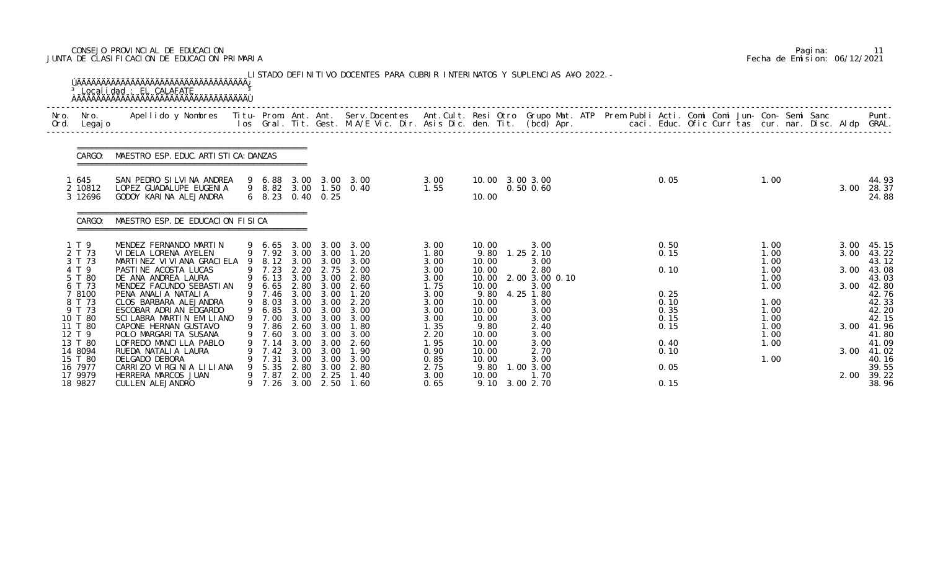## CONSEJO PROVINCIAL DE EDUCACION Pagina: 11 JUNTA DE CLASIFICACION DE EDUCACION PRIMARIA Fecha de Emision: 06/12/2021

| Nro.<br>Ord. | Nro.<br>Legaj o                                                | <b>ÚÄÄÄÄÄÄÄÄÄÄÄÄÄÄÄÄÄÄÄÄÄÄÄÄÄÄÄÄÄÄÄÄÄ</b><br>Apellido y Nombres - Titu- Prom. Ant. Ant. Serv.Docentes - Ant.Cult. Resi Otro Grupo Mat. ATP - Prem Publi Acti. Comi Comi Jun- Con- Semi Sanc |   |                                                      |                                              |                                                       | los Gral. Tit. Gest. M.A/E Vic. Dir. Asis Dic. den. Tit. (bcd) Apr.       caci. Educ. Ofic Curr tas cur. nar. Disc. Aldp GRAL. |                                              |                                                   |                                                                 |  |                                      |                                              |  |                              | Punt.                                                   |
|--------------|----------------------------------------------------------------|---------------------------------------------------------------------------------------------------------------------------------------------------------------------------------------------|---|------------------------------------------------------|----------------------------------------------|-------------------------------------------------------|--------------------------------------------------------------------------------------------------------------------------------|----------------------------------------------|---------------------------------------------------|-----------------------------------------------------------------|--|--------------------------------------|----------------------------------------------|--|------------------------------|---------------------------------------------------------|
|              | CARGO:                                                         | MAESTRO ESP. EDUC. ARTI STI CA: DANZAS                                                                                                                                                      |   |                                                      |                                              |                                                       |                                                                                                                                |                                              |                                                   |                                                                 |  |                                      |                                              |  |                              |                                                         |
|              | 645<br>2 10812<br>3 12696                                      | SAN PEDRO SILVINA ANDREA<br>LOPEZ GUADALUPE EUGENIA<br>GODOY KARINA ALEJANDRA                                                                                                               |   | 9 6.88<br>$6\quad 8.23$                              |                                              | $0.40 \quad 0.25$                                     | 3.00 3.00 3.00<br>9 8.82 3.00 1.50 0.40                                                                                        | 3.00<br>1.55                                 | 10.00                                             | 10.00 3.00 3.00<br>$0.50$ $0.60$                                |  | 0.05                                 | 1.00                                         |  | 3.00                         | 44.93<br>28.37<br>24.88                                 |
|              | CARGO:                                                         | MAESTRO ESP. DE EDUCACION FISICA                                                                                                                                                            |   |                                                      |                                              |                                                       |                                                                                                                                |                                              |                                                   |                                                                 |  |                                      |                                              |  |                              |                                                         |
|              | 1 T 9<br>2 T 73<br>3 T 73<br>4 T 9<br>5 T 80<br>6 T 73         | MENDEZ FERNANDO MARTIN<br>VI DELA LORENA AYELEN<br>MARTINEZ VI VI ANA GRACI ELA<br>PASTINE ACOSTA LUCAS<br>DE ANA ANDREA LAURA<br>MENDEZ FACUNDO SEBASTIAN                                  | 9 | 9 6.65 3.00<br>8.12<br>9 7.23<br>9 6.13<br>6.65      | 3.00<br>2.20<br>2.80                         | 9 7.92 3.00 3.00<br>3.00<br>2.75<br>3.00 3.00<br>3.00 | 3.00 3.00<br>1.20<br>3.00<br>2.00<br>2.80<br>2.60                                                                              | 3.00<br>1.80<br>3.00<br>3.00<br>3.00<br>1.75 | 10.00<br>9.80<br>10.00<br>10.00<br>10.00<br>10.00 | 3.00<br>$1.25$ $2.10$<br>3.00<br>2.80<br>2.00 3.00 0.10<br>3.00 |  | 0.50<br>0.15<br>0.10                 | 1.00<br>1.00<br>1.00<br>1.00<br>1.00<br>1.00 |  | 3.00<br>3.00<br>3.00<br>3.00 | 45.15<br>43.22<br>43.12<br>43.08<br>43.03<br>42.80      |
|              | 7 8100<br>8 T 73<br>9 T 73<br>10 T 80<br>11 T 80<br>12 T 9     | PENA ANALIA NATALIA<br>CLOS BARBARA ALEJANDRA<br>ESCOBAR ADRIAN EDGARDO<br>SCILABRA MARTIN EMILIANO<br>CAPONE HERNAN GUSTAVO<br>POLO MARGARI TA SUSANA                                      | 9 | 9 7.46<br>9 8.03<br>6.85<br>9 7.00<br>9 7.86<br>7.60 | 3.00<br>3.00<br>3.00<br>3.00<br>2.60<br>3.00 | 3.00<br>3.00<br>3.00<br>3.00<br>3.00<br>3.00          | 1.20<br>2.20<br>3.00<br>3.00<br>1.80<br>3.00                                                                                   | 3.00<br>3.00<br>3.00<br>3.00<br>1.35<br>2.20 | 9.80<br>10.00<br>10.00<br>10.00<br>9.80<br>10.00  | 4.25 1.80<br>3.00<br>3.00<br>3.00<br>2.40<br>3.00               |  | 0.25<br>0.10<br>0.35<br>0.15<br>0.15 | 1.00<br>1.00<br>1.00<br>1.00<br>1.00         |  |                              | 42.76<br>42.33<br>42.20<br>42.15<br>3.00 41.96<br>41.80 |
|              | 13 T 80<br>14 8094<br>15 T 80<br>16 7977<br>17 9979<br>18 9827 | LOFREDO MANCILLA PABLO<br>RUEDA NATALIA LAURA<br>DELGADO DEBORA<br>CARRIZO VIRGINIA LILIANA<br>HERRERA MARCOS JUAN<br>CULLEN ALEJANDRO                                                      |   | 7.14<br>7.42<br>7.31<br>5.35<br>9 7.87<br>7. 26      | 3.00<br>3.00<br>3.00<br>2.80<br>2.00         | 3.00<br>3.00<br>3.00<br>3.00<br>2.25<br>3.00 2.50     | 2.60<br>1.90<br>3.00<br>2.80<br>1.40<br>1.60                                                                                   | 1.95<br>0.90<br>0.85<br>2.75<br>3.00<br>0.65 | 10.00<br>10.00<br>10.00<br>9.80<br>10.00<br>9.10  | 3.00<br>2.70<br>3.00<br>1.00 3.00<br>1.70<br>3.00 2.70          |  | 0.40<br>0.10<br>0.05<br>0.15         | 1.00<br>1.00                                 |  | 3.00<br>2.00                 | 41.09<br>41.02<br>40.16<br>39.55<br>39.22<br>38.96      |

|  | Pagi na: | 11                           |
|--|----------|------------------------------|
|  |          | Fecha de Emision: 06/12/2021 |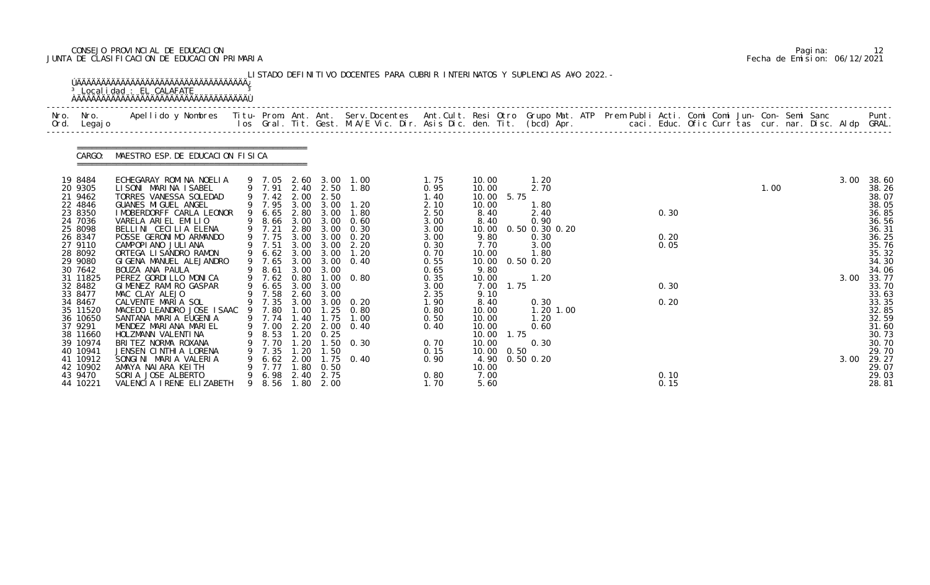## CONSEJO PROVINCIAL DE EDUCACION Pagina: 12 JUNTA DE CLASIFICACION DE EDUCACION PRIMARIA Fecha de Emision: 06/12/2021

| Nro.<br>Legaj o                                                                                                                                                                                                                                                                    |                                                                   |                              |                                                                                  |                                                                                                                                                        |                                                                                                                             |                                                                                                                                                                                                                                                                                                                                                |                                                                                                      |                                                              |                                                                |                                     |                      |      |                   |      |                                                                                                                                                                                                                                                           |
|------------------------------------------------------------------------------------------------------------------------------------------------------------------------------------------------------------------------------------------------------------------------------------|-------------------------------------------------------------------|------------------------------|----------------------------------------------------------------------------------|--------------------------------------------------------------------------------------------------------------------------------------------------------|-----------------------------------------------------------------------------------------------------------------------------|------------------------------------------------------------------------------------------------------------------------------------------------------------------------------------------------------------------------------------------------------------------------------------------------------------------------------------------------|------------------------------------------------------------------------------------------------------|--------------------------------------------------------------|----------------------------------------------------------------|-------------------------------------|----------------------|------|-------------------|------|-----------------------------------------------------------------------------------------------------------------------------------------------------------------------------------------------------------------------------------------------------------|
| CARGO:                                                                                                                                                                                                                                                                             |                                                                   |                              |                                                                                  |                                                                                                                                                        |                                                                                                                             |                                                                                                                                                                                                                                                                                                                                                |                                                                                                      |                                                              |                                                                |                                     |                      |      |                   |      |                                                                                                                                                                                                                                                           |
| ECHEGARAY ROMINA NOELIA<br>LISONI MARINA ISABEL<br>TORRES VANESSA SOLEDAD<br>GUANES MI GUEL ANGEL<br>I MOBERDORFF CARLA LEONOR<br>VARELA ARIEL EMILIO<br>BELLINI CECILIA ELENA<br>POSSE GERONIMO ARMANDO<br>CAMPOPIANO JULIANA<br>ORTEGA LISANDRO RAMON<br>GIGENA MANUEL ALEJANDRO |                                                                   |                              |                                                                                  |                                                                                                                                                        | 1.80<br>1.80<br>0.60<br>0.30<br>0.20<br>2.20<br>1.20                                                                        | 1.75<br>0.95<br>1.40<br>2.10<br>2.50<br>3.00<br>3.00<br>3.00<br>0.30<br>0.70<br>0.55                                                                                                                                                                                                                                                           | 10.00<br>10.00<br>10.00<br>10.00<br>8.40<br>8.40<br>10.00<br>9.80<br>7.70<br>10.00<br>10.00          | 1.20<br>2.70<br>1.80<br>2.40<br>0.90<br>0.30<br>3.00<br>1.80 |                                                                |                                     | 0.30<br>0.20<br>0.05 |      |                   | 3.00 | 38.60<br>38.26<br>38.07<br>38.05<br>36.85<br>36.56<br>36.31<br>36.25<br>35.76<br>35.32<br>34.30<br>34.06                                                                                                                                                  |
| PEREZ GORDILLO MONICA<br>GIMENEZ RAMIRO GASPAR<br>MAC CLAY ALEJO<br>CALVENTE MARIA SOL<br>SANTANA MARIA EUGENIA<br>MENDEZ MARIANA MARIEL<br>HOLZMANN VALENTINA<br>BRITEZ NORMA ROXANA<br>JENSEN CINTHIA LORENA<br>SONGINI MARIA VALERIA<br>AMAYA NAIARA KEITH                      | 9                                                                 | 8.53<br>7.70<br>7.35<br>7.77 |                                                                                  |                                                                                                                                                        | 0.80<br>1.00<br>0.40                                                                                                        | 0.35<br>3.00<br>2.35<br>1.90<br>0.80<br>0.50<br>0.40<br>0.70<br>0.15<br>0.90                                                                                                                                                                                                                                                                   | 10.00<br>7.00<br>9.10<br>8.40<br>10.00<br>10.00<br>10.00<br>10.00<br>10.00<br>10.00<br>4.90<br>10.00 | 1.20<br>0.30<br>1.20<br>0.60<br>0.30                         |                                                                |                                     | 0.30<br>0.20         |      |                   | 3.00 | 33.77<br>33.70<br>33.63<br>33.35<br>32.85<br>32.59<br>31.60<br>30.73<br>30.70<br>29.70<br>29.27<br>29.07<br>29.03                                                                                                                                         |
|                                                                                                                                                                                                                                                                                    | BOUZA ANA PAULA<br>SORIA JOSE ALBERTO<br>VALENCIA IRENE ELIZABETH | 9                            | MAESTRO ESP. DE EDUCACION FISICA<br>9 7.21<br>9 7.51<br>9 7.65<br>8.61<br>9 7.74 | 9 7.42<br>6.65<br>8.66<br>9 7.75<br>9 6.62<br>9 7.62<br>6.65<br>9 7.58<br>9 7.35<br>MACEDO LEANDRO JOSE ISAAC 9 7.80<br>9 7.00<br>6.62<br>6.98<br>8.56 | 2.00<br>3.00<br>2.80<br>3.00<br>3.00<br>3.00<br>3.00<br>0.80<br>3.00<br>2.60<br>1.40<br>.20<br>1.20<br>2.00<br>1.80<br>2.40 | 9 7.05 2.60 3.00 1.00<br>9 7.91 2.40 2.50<br>2.50<br>9 7.95 3.00 3.00 1.20<br>2.80 3.00<br>3.00<br>3.00<br>3.00<br>3.00<br>3.00 3.00<br>$3.00 \quad 0.40$<br>3.00<br>$1.00 \quad 0.80$<br>3.00<br>3.00<br>3.00 3.00 0.20<br>1.00 1.25<br>1.75<br>2.20 2.00<br>$1.20 \t 0.25$<br>$1.50 \quad 0.30$<br>1.50<br>$1.75 \quad 0.40$<br>0.50<br>2.75 | 0.65<br>0.80                                                                                         | 9.80<br>7.00                                                 | 5.75<br>$0.50$ $0.20$<br>1.75<br>1.75<br>0.50<br>$0.50$ $0.20$ | 0.50 0.30 0.20<br>1.20 1.00<br>1.70 |                      | 0.10 | 1.00<br>1.80 2.00 |      | Apellido y Nombres  Titu- Prom. Ant. Ant. Serv.Docentes  Ant.Cult. Resi Otro Grupo Mat. ATP Prem Publi Acti. Comi Comi Jun- Con- Semi Sanc           Punt.<br>Ios Gral. Tit. Gest. M.A/E Vic. Dir. Asis Dic. den. Tit. (bcd) Apr.<br>3.00<br>5.60<br>0.15 |

|  | Pagi na: |                              |
|--|----------|------------------------------|
|  |          | Fecha de Emision: 06/12/2021 |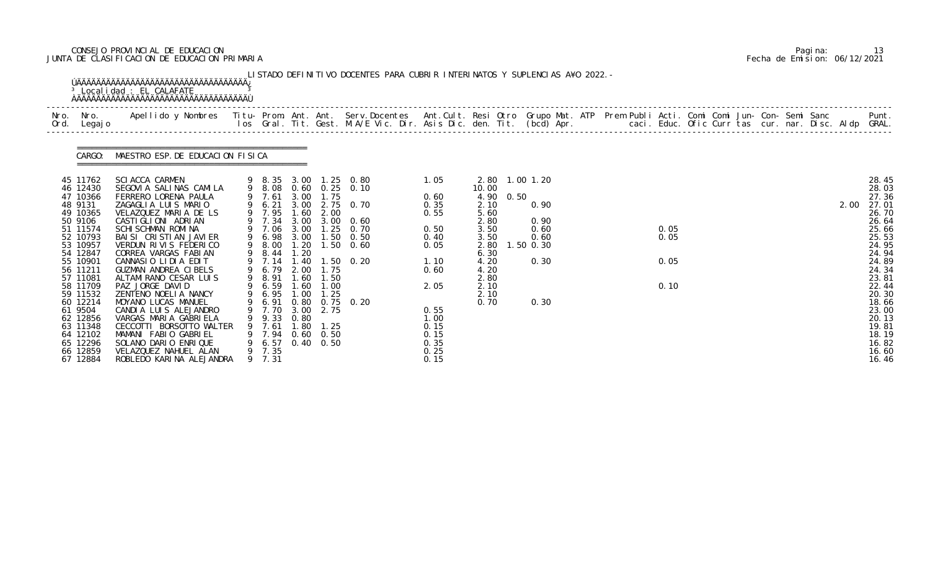## CONSEJO PROVINCIAL DE EDUCACION Pagina: 13 JUNTA DE CLASIFICACION DE EDUCACION PRIMARIA Fecha de Emision: 06/12/2021

| Nro. Nro.<br>Ord. Legajo                                                                                                                                                                                                                                                      | Nro. Apellido y Nombres Titu- Prom. Ant. Ant. Serv.Docentes Ant.Cult. Resi Otro Grupo Mat. ATP Prem Publi Acti. Comi Comi Jun- Con- Semi Sanc Punt.<br>Ios Gral. Tit. Gest. M.A/E Vic. Dir. Asis Dic. den. Tit. (bcd) Apr.                                                                                                                                                                                                                                                                                                                                                             |   |                                                                                                                                                                                                                           |                                                              |                                                                                                       |                                                                                                                                                                    |                                                                                                                                      |                                                                                                                                         |                   |                                              |  |                              |  |  |  |      |                                                                                                                                                                                                             |
|-------------------------------------------------------------------------------------------------------------------------------------------------------------------------------------------------------------------------------------------------------------------------------|----------------------------------------------------------------------------------------------------------------------------------------------------------------------------------------------------------------------------------------------------------------------------------------------------------------------------------------------------------------------------------------------------------------------------------------------------------------------------------------------------------------------------------------------------------------------------------------|---|---------------------------------------------------------------------------------------------------------------------------------------------------------------------------------------------------------------------------|--------------------------------------------------------------|-------------------------------------------------------------------------------------------------------|--------------------------------------------------------------------------------------------------------------------------------------------------------------------|--------------------------------------------------------------------------------------------------------------------------------------|-----------------------------------------------------------------------------------------------------------------------------------------|-------------------|----------------------------------------------|--|------------------------------|--|--|--|------|-------------------------------------------------------------------------------------------------------------------------------------------------------------------------------------------------------------|
| CARGO:                                                                                                                                                                                                                                                                        | MAESTRO ESP. DE EDUCACION FISICA                                                                                                                                                                                                                                                                                                                                                                                                                                                                                                                                                       |   |                                                                                                                                                                                                                           |                                                              |                                                                                                       |                                                                                                                                                                    |                                                                                                                                      |                                                                                                                                         |                   |                                              |  |                              |  |  |  |      |                                                                                                                                                                                                             |
| 45 11762<br>46 12430<br>47 10366<br>48 9131<br>49 10365<br>50 9106<br>51 11574<br>52 10793<br>53 10957<br>54 12847<br>55 10901<br>56 11211<br>57 11081<br>58 11709<br>59 11532<br>60 12214<br>61 9504<br>62 12856<br>63 11348<br>64 12102<br>65 12296<br>66 12859<br>67 12884 | <b>SCIACCA CARMEN</b><br>SEGOVIA SALINAS CAMILA<br>FERRERO LORENA PAULA<br>ZAGAGLIA LUIS MARIO<br>VELAZQUEZ MARIA DE LS<br>CASTI GLI ONI ADRI AN<br><b>SCHI SCHMAN ROMI NA</b><br>BAI SI CRISTIAN JAVIER<br>VERDUN RIVIS FEDERICO<br>CORREA VARGAS FABIAN<br>CANNASIO LIDIA EDIT<br>GUZMAN ANDREA CIBELS<br>ALTAMIRANO CESAR LUIS<br>PAZ JORGE DAVID<br>ZENTENO NOELIA NANCY<br>MOYANO LUCAS MANUEL<br>CANDIA LUIS ALEJANDRO<br>VARGAS MARIA GABRIELA<br>CECCOTTI BORSOTTO WALTER<br>MAMANI FABIO GABRIEL<br>SOLANO DARIO ENRIQUE<br>VELAZQUEZ NAHUEL ALAN<br>ROBLEDO KARINA ALEJANDRA | 9 | 9 7.61<br>9 6.21<br>9 7.95<br>9 7.34<br>9 7.06<br>9 6.98 3.00<br>9 8.00<br>8.44<br>9 7.14<br>6.79<br>9 8.91 1.60 1.50<br>9 6.59<br>9 6.95<br>9 6.91<br>9 7.70<br>9 9.33<br>9 7.61<br>9 7.94<br>9 6.57<br>9 7.35<br>9 7.31 | 3.00<br>1.60<br>3.00<br>3.00<br>1.20<br>1.60<br>1.00<br>0.80 | 1.75<br>2.00<br>3.00<br>2.00 1.75<br>1.00<br>1.25<br>3.00 2.75<br>1.80 1.25<br>0.60 0.50<br>0.40 0.50 | 9 8.35 3.00 1.25 0.80<br>9 8.08 0.60 0.25 0.10<br>3.00 2.75 0.70<br>0.60<br>$1.25$ 0.70<br>$1.50 \quad 0.50$<br>1.20 1.50 0.60<br>1.40 1.50 0.20<br>0.80 0.75 0.20 | 1.05<br>0.60<br>0.35<br>0.55<br>0.50<br>0.40<br>0.05<br>1.10<br>0.60<br>2.05<br>0.55<br>1.00<br>0.15<br>0.15<br>0.35<br>0.25<br>0.15 | 2.80 1.00 1.20<br>10.00<br>4.90<br>2.10<br>5.60<br>2.80<br>3.50<br>3.50<br>2.80<br>6.30<br>4.20<br>4.20<br>2.80<br>2.10<br>2.10<br>0.70 | 0.50<br>1.50 0.30 | 0.90<br>0.90<br>0.60<br>0.60<br>0.30<br>0.30 |  | 0.05<br>0.05<br>0.05<br>0.10 |  |  |  | 2.00 | 28.45<br>28.03<br>27.36<br>27.01<br>26.70<br>26.64<br>25.66<br>25.53<br>24.95<br>24.94<br>24.89<br>24.34<br>23.81<br>22.44<br>20.30<br>18.66<br>23.00<br>20.13<br>19.81<br>18.19<br>16.82<br>16.60<br>16.46 |

|  | Pagi na: | 13                           |
|--|----------|------------------------------|
|  |          | Fecha de Emision: 06/12/2021 |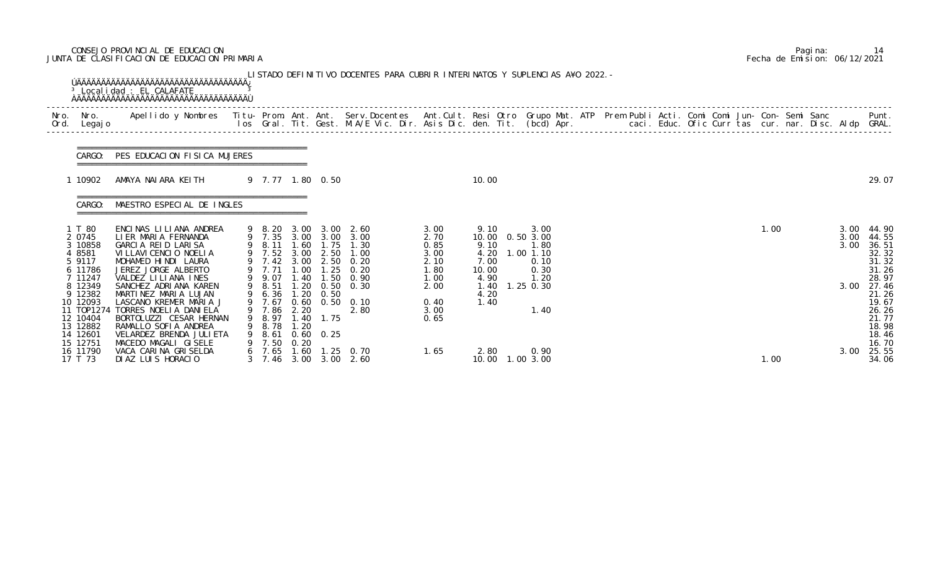## CONSEJO PROVINCIAL DE EDUCACION Pagina: 14 JUNTA DE CLASIFICACION DE EDUCACION PRIMARIA Fecha de Emision: 06/12/2021

|              |                                                                                                                                                           | <b>OAAAAAAAAAAAAAAAAAAAAAAAAAAAAAAAAAAA</b>                                                                                                                                                                                                                                                                                                           |   |                                                                                                                                             |                                                              |                                                            | LISTADO DEFINITIVO DOCENTES PARA CUBRIR INTERINATOS Y SUPLENCIAS A¥O 2022. -                                                      |                                                                                      |                                                                                |                                                                                     |  |  |  |      |  |                              |                                                                                                                            |
|--------------|-----------------------------------------------------------------------------------------------------------------------------------------------------------|-------------------------------------------------------------------------------------------------------------------------------------------------------------------------------------------------------------------------------------------------------------------------------------------------------------------------------------------------------|---|---------------------------------------------------------------------------------------------------------------------------------------------|--------------------------------------------------------------|------------------------------------------------------------|-----------------------------------------------------------------------------------------------------------------------------------|--------------------------------------------------------------------------------------|--------------------------------------------------------------------------------|-------------------------------------------------------------------------------------|--|--|--|------|--|------------------------------|----------------------------------------------------------------------------------------------------------------------------|
| Nro.<br>Ord. | Nro.<br>Legaj o                                                                                                                                           | Apellido y Nombres Titu- Prom. Ant. Ant. Serv.Docentes Ant.Cult. Resi Otro Grupo Mat. ATP Prem Publi Acti. Comi Comi Jun- Con- Semi Sanc Punt.<br>Ios Gral. Tit. Gest. M.A/E Vic. Dir. Asis Dic. den. Tit. (bcd) Apr.                                                                                                                                 |   |                                                                                                                                             |                                                              |                                                            |                                                                                                                                   |                                                                                      |                                                                                |                                                                                     |  |  |  |      |  |                              |                                                                                                                            |
|              | CARGO:                                                                                                                                                    | PES EDUCACION FISICA MUJERES                                                                                                                                                                                                                                                                                                                          |   |                                                                                                                                             |                                                              |                                                            |                                                                                                                                   |                                                                                      |                                                                                |                                                                                     |  |  |  |      |  |                              |                                                                                                                            |
|              | 1 10902                                                                                                                                                   | AMAYA NALARA KELTH                                                                                                                                                                                                                                                                                                                                    |   | 9 7.77 1.80 0.50                                                                                                                            |                                                              |                                                            |                                                                                                                                   |                                                                                      | 10.00                                                                          |                                                                                     |  |  |  |      |  |                              | 29.07                                                                                                                      |
|              | CARGO:                                                                                                                                                    | MAESTRO ESPECIAL DE INGLES                                                                                                                                                                                                                                                                                                                            |   |                                                                                                                                             |                                                              |                                                            |                                                                                                                                   |                                                                                      |                                                                                |                                                                                     |  |  |  |      |  |                              |                                                                                                                            |
|              | 1 T 80<br>2 0745<br>3 10858<br>4 8581<br>5 9117<br>6 11786<br>7 11247<br>8 12349<br>9 12382<br>10 12093<br>11 T0P1274<br>12 10404<br>13 12882<br>14 12601 | ENCINAS LILIANA ANDREA<br>LIER MARIA FERNANDA<br>GARCIA REID LARISA<br>VI LLAVI CENCIO NOELIA<br>MOHAMED HINDI LAURA<br>JEREZ JORGE ALBERTO<br>VALDEZ LILIANA INES<br>SANCHEZ ADRIANA KAREN<br>MARTINEZ MARIA LUJAN<br>LASCANO KREMER MARIA J<br>TORRES NOELLA DANIELA<br>BORTOLUZZI CESAR HERNAN<br>RAMALLO SOFIA ANDREA<br>VELARDEZ BRENDA JULI ETA | 9 | 9 8.20<br>9 7.35<br>9 8.11 1.60<br>9 7.52<br>9 7.42<br>9 7.71<br>9 9.07<br>9 8.51<br>6.36<br>9 7.67<br>9 7.86<br>9 8.97<br>9 8.78<br>9 8.61 | 3.00<br>3.00<br>3.00<br>1.00<br>1.40<br>1.20<br>2.20<br>1.20 | 2.50<br>1.25<br>1.50<br>0.50<br>1.40 1.75<br>$0.60$ $0.25$ | 3.00 2.60<br>3.00 3.00 3.00<br>$1.75$ 1.30<br>1.00<br>2.50 0.20<br>0.20<br>0.90<br>1.20 0.50 0.30<br>$0.60$ $0.50$ $0.10$<br>2.80 | 3.00<br>2.70<br>0.85<br>3.00<br>2.10<br>1.80<br>1.00<br>2.00<br>0.40<br>3.00<br>0.65 | 9.10<br>10.00<br>9.10<br>4.20<br>7.00<br>10.00<br>4.90<br>1.40<br>4.20<br>1.40 | 3.00<br>0.50 3.00<br>1.80<br>1.00 1.10<br>0.10<br>0.30<br>1.20<br>1.25 0.30<br>1.40 |  |  |  | 1.00 |  | 3.00<br>3.00<br>3.00<br>3.00 | 44.90<br>44.55<br>36.51<br>32.32<br>31.32<br>31.26<br>28.97<br>27.46<br>21.26<br>19.67<br>26.26<br>21.77<br>18.98<br>18.46 |
|              | 15 12751<br>16 11790<br>17 T 73                                                                                                                           | MACEDO MAGALI GISELE<br>VACA CARINA GRISELDA<br>DIAZ LUIS HORACIO                                                                                                                                                                                                                                                                                     |   | 9 7.50<br>6 7.65                                                                                                                            | 0.20                                                         |                                                            | 1.60 1.25 0.70<br>3 7.46 3.00 3.00 2.60                                                                                           | 1.65                                                                                 | 2.80<br>10.00                                                                  | 0.90<br>1.00 3.00                                                                   |  |  |  | 1.00 |  | 3.00                         | 16.70<br>25.55<br>34.06                                                                                                    |

|  | Pagi na: | 14                           |
|--|----------|------------------------------|
|  |          | Fecha de Emision: 06/12/2021 |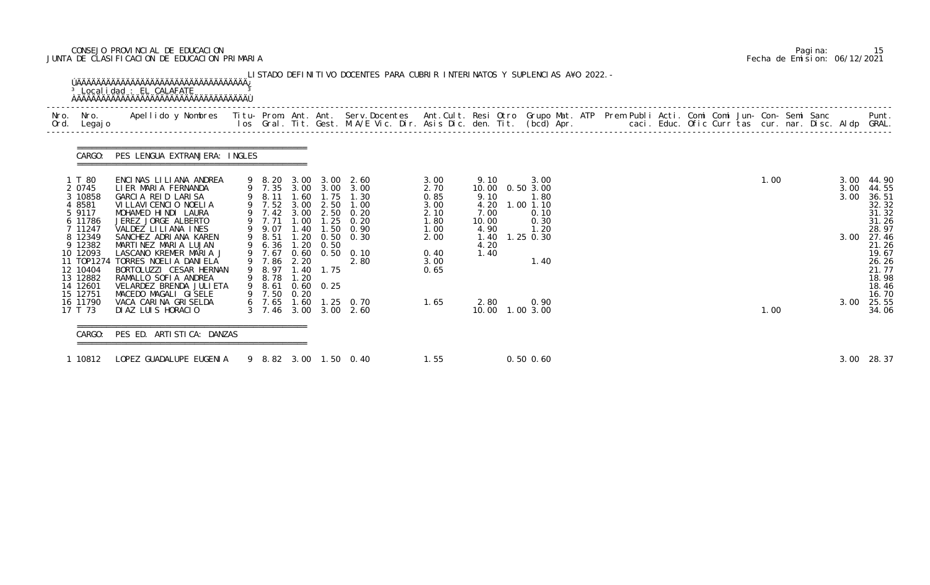## CONSEJO PROVINCIAL DE EDUCACION Pagina: 15 JUNTA DE CLASIFICACION DE EDUCACION PRIMARIA Fecha de Emision: 06/12/2021

| Nro.<br>Nro.<br>Ord. Legajo                                                                 | Apellido y Nombres - Titu- Prom. Ant. Ant. Serv.Docentes - Ant.Cult. Resi Otro Grupo Mat. ATP Prem Publi Acti. Comi Comi Jun- Con- Semi Sanc - - - Punt.<br>Ios Gral. Tit. Gest. M.A/E Vic. Dir. Asis Dic. den. Tit. (bcd) Apr. - |                                                                                   |                                      |                                                   |                                                                          |                                              |                                       |                                                                    |  |  |  |      |              |                                                                         |
|---------------------------------------------------------------------------------------------|-----------------------------------------------------------------------------------------------------------------------------------------------------------------------------------------------------------------------------------|-----------------------------------------------------------------------------------|--------------------------------------|---------------------------------------------------|--------------------------------------------------------------------------|----------------------------------------------|---------------------------------------|--------------------------------------------------------------------|--|--|--|------|--------------|-------------------------------------------------------------------------|
| CARGO:                                                                                      | PES LENGUA EXTRANJERA: INGLES                                                                                                                                                                                                     |                                                                                   |                                      |                                                   |                                                                          |                                              |                                       |                                                                    |  |  |  |      |              |                                                                         |
| 1 T 80<br>2 0745<br>3 10858<br>4 8581<br>5 9117<br>6 11786                                  | ENCINAS LILIANA ANDREA<br>LIER MARIA FERNANDA<br>GARCIA REID LARISA<br>VI LLAVI CENCIO NOELIA<br>MOHAMED HINDI LAURA<br>JEREZ JORGE ALBERTO                                                                                       | 9 8.20 3.00<br>9 7.35 3.00<br>9 8.11 1.60<br>9 7.52 3.00<br>9 7.42 3.00<br>9 7.71 | 1.00                                 | 2.50<br>1.25                                      | $3.00 \quad 2.60$<br>3.00 3.00<br>1.75 1.30<br>1.00<br>2.50 0.20<br>0.20 | 3.00<br>2.70<br>0.85<br>3.00<br>2.10<br>1.80 | 9.10<br>9.10<br>4.20<br>7.00<br>10.00 | 3.00<br>10.00  0.50  3.00<br>1.80<br>$1.00$ $1.10$<br>0.10<br>0.30 |  |  |  | 1.00 | 3.00<br>3.00 | 3.00 44.90<br>44.55<br>36.51<br>32.32<br>31.32<br>$\frac{31.26}{28.97}$ |
| 7 11247<br>8 12349<br>9 12382<br>10 12093<br>11 T0P1274<br>12 10404<br>13 12882<br>14 12601 | VALDEZ LILIANA INES<br>SANCHEZ ADRIANA KAREN<br>MARTINEZ MARIA LUJAN<br>LASCANO KREMER MARIA J<br>TORRES NOELIA DANIELA<br>BORTOLUZZI CESAR HERNAN<br>RAMALLO SOFIA ANDREA<br>VELARDEZ BRENDA JULI ETA                            | 9 9.07<br>9 8.51<br>9 6.36<br>9 7.67<br>9 7.86<br>9 8.78 1.20<br>9 8.61           | 1.40<br>1.20<br>1.20<br>0.60<br>2.20 | 0.50<br>0.50<br>9 8.97 1.40 1.75<br>$0.60$ $0.25$ | $1.50 \quad 0.90$<br>$0.50 \quad 0.30$<br>0.10<br>2.80                   | 1.00<br>2.00<br>0.40<br>3.00<br>0.65         | 4.90<br>1.40<br>4.20<br>1.40          | 1.20<br>1.25 0.30<br>1.40                                          |  |  |  |      | 3.00         | 27.46<br>21.26<br>19.67<br>26.26<br>21.77<br>18.98<br>18.46             |
| 15 12751<br>16 11790<br>17 T 73                                                             | MACEDO MAGALI GISELE<br>VACA CARINA GRISELDA<br>DIAZ LUIS HORACIO                                                                                                                                                                 | 9 7.50<br>$6$ 7.65 1.60<br>3 7.46 3.00                                            | 0.20                                 |                                                   | $1.25 \quad 0.70$<br>3.00 2.60                                           | 1.65                                         | 2.80                                  | 0.90<br>10.00  1.00  3.00                                          |  |  |  | 1.00 | 3.00         | 16.70<br>25.55<br>34.06                                                 |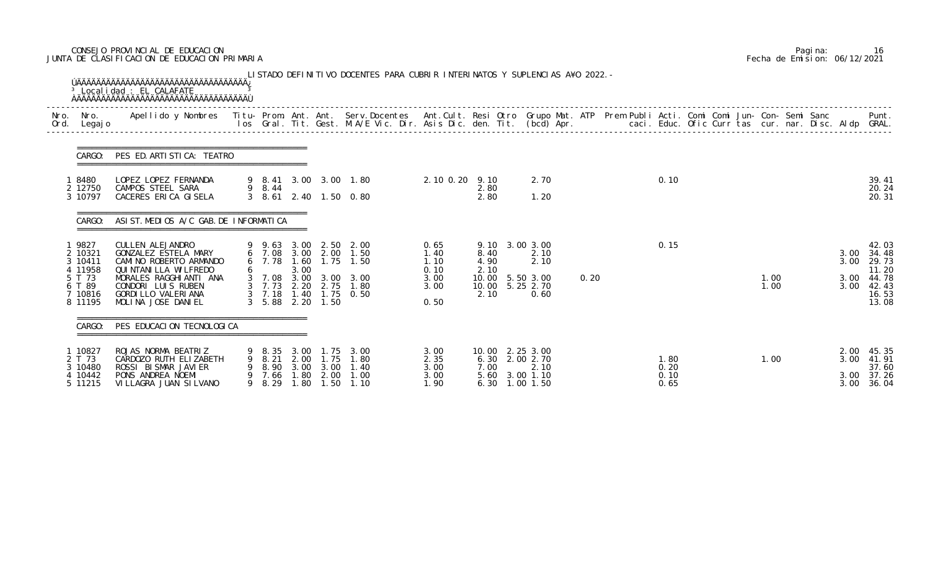## CONSEJO PROVINCIAL DE EDUCACION Pagina: 16 JUNTA DE CLASIFICACION DE EDUCACION PRIMARIA Fecha de Emision: 06/12/2021

| Legaj o                                                                           |                                                                                                                                                                                             |             |                                              |                              |                                                                |                                                                                                                                                    |                                                      |                                                                                      |                                             |      |                              |  |              |                              |                                                                      |
|-----------------------------------------------------------------------------------|---------------------------------------------------------------------------------------------------------------------------------------------------------------------------------------------|-------------|----------------------------------------------|------------------------------|----------------------------------------------------------------|----------------------------------------------------------------------------------------------------------------------------------------------------|------------------------------------------------------|--------------------------------------------------------------------------------------|---------------------------------------------|------|------------------------------|--|--------------|------------------------------|----------------------------------------------------------------------|
| CARGO:                                                                            | PES ED. ARTI STI CA: TEATRO                                                                                                                                                                 |             |                                              |                              |                                                                |                                                                                                                                                    |                                                      |                                                                                      |                                             |      |                              |  |              |                              |                                                                      |
| 8480<br>2 12750<br>3 10797                                                        | LOPEZ LOPEZ FERNANDA<br>CAMPOS STEEL SARA<br>CACERES ERICA GISELA                                                                                                                           |             | 9 8.44                                       |                              |                                                                | 9 8.41 3.00 3.00 1.80<br>3 8.61 2.40 1.50 0.80                                                                                                     | 2.10 0.20 9.10                                       | 2.80<br>2.80                                                                         | 2.70<br>1.20                                |      | 0.10                         |  |              |                              | 39.41<br>20.24<br>20.31                                              |
| CARGO:                                                                            | ASI ST. MEDIOS A/C GAB. DE INFORMATICA                                                                                                                                                      |             |                                              |                              |                                                                |                                                                                                                                                    |                                                      |                                                                                      |                                             |      |                              |  |              |                              |                                                                      |
| 1 9827<br>2 10321<br>3 10411<br>4 11958<br>5 T 73<br>6 T 89<br>7 10816<br>8 11195 | CULLEN ALEJANDRO<br>GONZALEZ ESTELA MARY<br>CAMINO ROBERTO ARMANDO<br>QUI NTANI LLA WI LFREDO<br>MORALES RAGGHIANTI ANA<br>CONDORI LUIS RUBEN<br>GORDI LLO VALERI ANA<br>MOLINA JOSE DANIEL |             | $3\quad 5.88$                                | 3.00                         | 2.20 1.50                                                      | 9 9.63 3.00 2.50 2.00<br>6 7.08 3.00 2.00 1.50<br>6 7.78 1.60 1.75 1.50<br>3 7.08 3.00 3.00 3.00<br>3 7.73 2.20 2.75 1.80<br>3 7.18 1.40 1.75 0.50 | 0.65<br>1.40<br>1.10<br>0.10<br>3.00<br>3.00<br>0.50 | 9.10 3.00 3.00<br>8.40<br>4.90<br>2.10<br>10.00 5.50 3.00<br>10.00 5.25 2.70<br>2.10 | 2.10<br>2.10<br>0.60                        | 0.20 | 0.15                         |  | 1.00<br>1.00 | 3.00<br>3.00<br>3.00<br>3.00 | 42.03<br>34.48<br>29.73<br>11.20<br>44.78<br>42.43<br>16.53<br>13.08 |
|                                                                                   | CARGO: PES EDUCACION TECNOLOGICA                                                                                                                                                            |             |                                              |                              |                                                                |                                                                                                                                                    |                                                      |                                                                                      |                                             |      |                              |  |              |                              |                                                                      |
| 1 10827<br>2 T 73<br>3 10480<br>4 10442<br>5 11215                                | ROJAS NORMA BEATRIZ<br>CARDOZO RUTH ELIZABETH<br>ROSSI BISMAR JAVIER<br>PONS ANDREA NOEMI<br>VI LLAGRA JUAN SI LVANO                                                                        | 9<br>9<br>9 | 9 8.35 3.00<br>8.21<br>8.90<br>7.66<br>8. 29 | 2.00<br>3.00<br>. 80<br>1.80 | 1. 75<br>1.75<br>3.00<br>2.00<br>$\overline{\phantom{0}}$ . 50 | 3.00<br>1.80<br>1.40<br>1.00<br>1.10                                                                                                               | 3.00<br>2.35<br>3.00<br>3.00<br>1. 90                | 10.00 2.25 3.00<br>6.30<br>7.00<br>5.60<br>6.30                                      | 2.00 2.70<br>2.10<br>3.00 1.10<br>1.00 1.50 |      | 1.80<br>0.20<br>0.10<br>0.65 |  | 1.00         | 2.00<br>3.00<br>3.00<br>3.00 | 45.35<br>41.91<br>37.60<br>37.26<br>36.04                            |

|  | Pagi na: | 16                           |
|--|----------|------------------------------|
|  |          | Fecha de Emision: 06/12/2021 |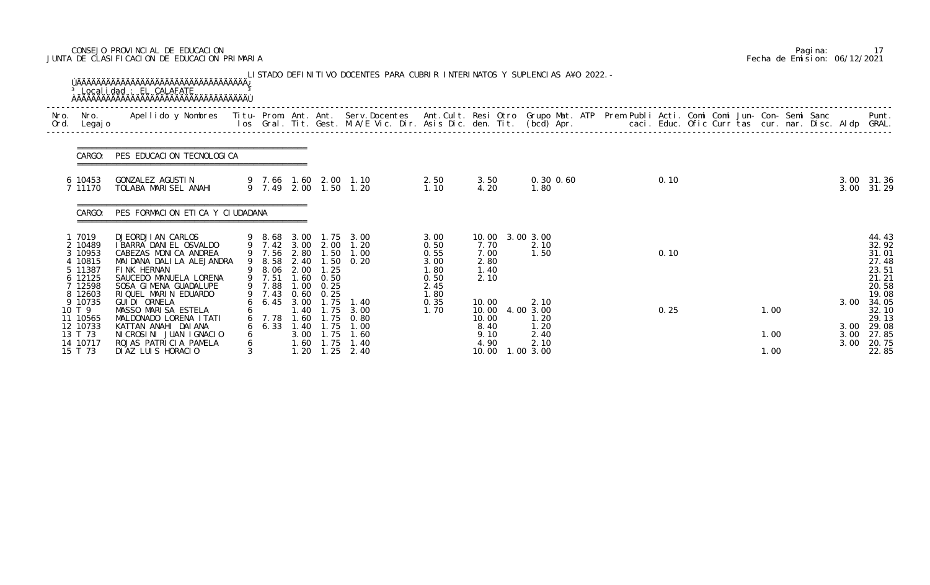## CONSEJO PROVINCIAL DE EDUCACION Pagina: 17 JUNTA DE CLASIFICACION DE EDUCACION PRIMARIA Fecha de Emision: 06/12/2021

|              |                                                                             | <sup>3</sup> Localidad : EL CALAFATE<br><b>OAAAAAAAAAAAAAAAAAAAAAAAAAAAAAAAAA</b>                                                                                      |              |                                                     |              |                                        | LISTADO DEFINITIVO DOCENTES PARA CUBRIR INTERINATOS Y SUPLENCIAS A¥O 2022. -              |                                                      |                                                         |                                                   |                                                                                                                                                                                                                                   |              |                              |                                                                      |
|--------------|-----------------------------------------------------------------------------|------------------------------------------------------------------------------------------------------------------------------------------------------------------------|--------------|-----------------------------------------------------|--------------|----------------------------------------|-------------------------------------------------------------------------------------------|------------------------------------------------------|---------------------------------------------------------|---------------------------------------------------|-----------------------------------------------------------------------------------------------------------------------------------------------------------------------------------------------------------------------------------|--------------|------------------------------|----------------------------------------------------------------------|
| Nro.<br>Ord. | Nro. In the Nro.<br>Legaj o                                                 |                                                                                                                                                                        |              |                                                     |              |                                        |                                                                                           |                                                      |                                                         |                                                   | Apellido y Nombres - Titu- Prom. Ant. Ant. Serv.Docentes - Ant.Cult. Resi Otro Grupo Mat. ATP Prem Publi Acti. Comi Comi Jun- Con- Semi Sanc - - - Punt.<br>Ios Gral. Tit. Gest. M.A/E Vic. Dir. Asis Dic. den. Tit. (bcd) Apr. - |              |                              |                                                                      |
|              | CARGO:                                                                      | PES EDUCACION TECNOLOGICA                                                                                                                                              |              |                                                     |              |                                        |                                                                                           |                                                      |                                                         |                                                   |                                                                                                                                                                                                                                   |              |                              |                                                                      |
|              | 6 10453<br>7 11170                                                          | GONZALEZ AGUSTIN<br>TOLABA MARISEL ANAHI                                                                                                                               |              |                                                     |              |                                        | 9 7.66 1.60 2.00 1.10<br>9 7.49 2.00 1.50 1.20                                            | 2.50<br>1.10                                         | 3.50<br>4.20                                            | $0.30$ $0.60$<br>1.80                             | 0.10                                                                                                                                                                                                                              |              | 3.00                         | 3.00 31.36<br>31.29                                                  |
|              | CARGO:                                                                      | PES FORMACION ETICA Y CIUDADANA                                                                                                                                        |              |                                                     |              |                                        |                                                                                           |                                                      |                                                         |                                                   |                                                                                                                                                                                                                                   |              |                              |                                                                      |
|              | 1 7019<br>2 10489<br>3 10953<br>4 10815<br>5 11387<br>6 12125<br>7 12598    | DJEORDJI AN CARLOS<br>I BARRA DANI EL OSVALDO<br>CABEZAS MONICA ANDREA<br>MAI DANA DALI LA ALEJANDRA<br>FINK HERNAN<br>SAUCEDO MANUELA LORENA<br>SOSA GIMENA GUADALUPE |              | 9 8.58 2.40<br>9 8.06 2.00 1.25<br>9 7.51<br>9 7.88 | 1.60<br>1.00 | 0.50<br>0.25                           | 9 8.68 3.00 1.75 3.00<br>9 7.42 3.00 2.00 1.20<br>9 7.56 2.80 1.50 1.00<br>$1.50 \t 0.20$ | 3.00<br>0.50<br>0.55<br>3.00<br>1.80<br>0.50<br>2.45 | 10.00 3.00 3.00<br>7.70<br>7.00<br>2.80<br>1.40<br>2.10 | 2.10<br>1.50                                      | 0.10                                                                                                                                                                                                                              |              |                              | 44.43<br>32.92<br>31.01<br>27.48<br>23.51<br>21.21<br>20.58<br>19.08 |
|              | 8 12603<br>9 10735<br>10 T 9<br>11 10565<br>12 10733<br>13 T 73<br>14 10717 | RIQUEL MARIN EDUARDO<br>GUI DI ORNELA<br>MASSO MARISA ESTELA<br>MALDONADO LORENA I TATI<br>KATTAN ANAHI DAIANA<br>NICROSINI JUAN IGNACIO<br>ROJAS PATRICIA PAMELA      | 6<br>6       | 9 7.43<br>$6\quad 6.45$<br>6 7.78<br>$6\quad 6.33$  | 3.00<br>1.40 | $0.60$ $0.25$<br>1.75<br>$1.60$ $1.75$ | 1.40<br>1.40 1.75 3.00<br>1.60 1.75 0.80<br>1.75 1.00<br>3.00 1.75 1.60<br>1.40           | 1.80<br>0.35<br>1.70                                 | 10.00<br>10.00<br>10.00<br>8.40<br>9.10<br>4.90         | 2.10<br>4.00 3.00<br>1.20<br>1.20<br>2.40<br>2.10 | 0.25                                                                                                                                                                                                                              | 1.00<br>1.00 | 3.00<br>3.00<br>3.00<br>3.00 | 34.05<br>32.10<br>29.13<br>29.08<br>27.85<br>20.75                   |
|              | 15 T 73                                                                     | DIAZ LUIS HORACIO                                                                                                                                                      | $\mathbf{3}$ |                                                     | 1.20         | 1.25                                   | 2.40                                                                                      |                                                      | 10.00                                                   | 1.00 3.00                                         |                                                                                                                                                                                                                                   | 1.00         |                              | 22.85                                                                |

|  | Pagi na: |                              |
|--|----------|------------------------------|
|  |          | Fecha de Emision: 06/12/2021 |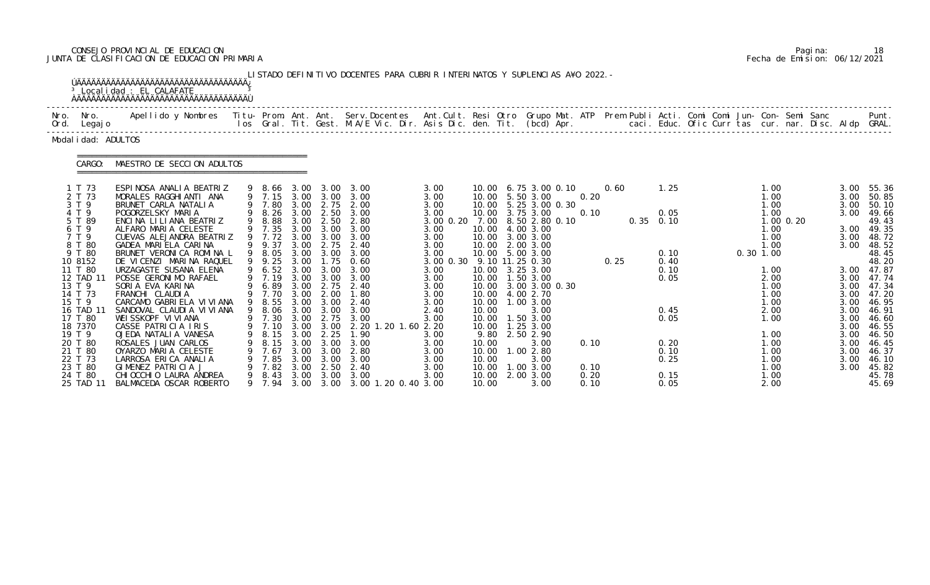# CONSEJO PROVINCIAL DE EDUCACION Pagina: 18 JUNTA DE CLASIFICACION DE EDUCACION PRIMARIA Fecha de Emision: 06/12/2021

|                                                                                                                                                                                                                                                                       | <sup>3</sup> Localidad : EL CALAFATE<br><b>AAAAAAAAAAAAAAAAAAAAAAAAAAAAAAAAAAAA</b>                                                                                                                                                                                                                                                                                                                                                                                                                                                                                                                                                         |   |                                                                                                                                                                                                                                                                   |                                                                                                      |                                                                                                                                                                         | LISTADO DEFINITIVO DOCENTES PARA CUBRIR INTERINATOS Y SUPLENCIAS A¥O 2022. -                                                                                                                                                                                                                       |                                                                                                                                                                                                                                    |                                                                              |                                                                                                                                                                                                                                                                                                                                                                                              |                                              |              |                                                                                                                     |  |                                                                                                                                                                                     |             |                                                                                                                                      |                                                                                                                                                                                                                                              |
|-----------------------------------------------------------------------------------------------------------------------------------------------------------------------------------------------------------------------------------------------------------------------|---------------------------------------------------------------------------------------------------------------------------------------------------------------------------------------------------------------------------------------------------------------------------------------------------------------------------------------------------------------------------------------------------------------------------------------------------------------------------------------------------------------------------------------------------------------------------------------------------------------------------------------------|---|-------------------------------------------------------------------------------------------------------------------------------------------------------------------------------------------------------------------------------------------------------------------|------------------------------------------------------------------------------------------------------|-------------------------------------------------------------------------------------------------------------------------------------------------------------------------|----------------------------------------------------------------------------------------------------------------------------------------------------------------------------------------------------------------------------------------------------------------------------------------------------|------------------------------------------------------------------------------------------------------------------------------------------------------------------------------------------------------------------------------------|------------------------------------------------------------------------------|----------------------------------------------------------------------------------------------------------------------------------------------------------------------------------------------------------------------------------------------------------------------------------------------------------------------------------------------------------------------------------------------|----------------------------------------------|--------------|---------------------------------------------------------------------------------------------------------------------|--|-------------------------------------------------------------------------------------------------------------------------------------------------------------------------------------|-------------|--------------------------------------------------------------------------------------------------------------------------------------|----------------------------------------------------------------------------------------------------------------------------------------------------------------------------------------------------------------------------------------------|
| Nro. Nro.<br>Ord. Legajo                                                                                                                                                                                                                                              | Apellido y Nombres - Titu- Prom. Ant. Ant. Serv.Docentes - Ant.Cult. Resi Otro - Grupo Mat. ATP - Prem Publi Acti. Comi Comi Jun- Con- Semi Sanc                                                                                                                                                                                                                                                                                                                                                                                                                                                                                            |   |                                                                                                                                                                                                                                                                   |                                                                                                      |                                                                                                                                                                         | los Gral. Tit. Gest. M.A/E Vic. Dir. Asis Dic. den. Tit. (bcd) Apr.        caci. Educ. Ofic Curr tas cur. nar. Disc. Aldp GRAL.                                                                                                                                                                    |                                                                                                                                                                                                                                    |                                                                              |                                                                                                                                                                                                                                                                                                                                                                                              |                                              |              |                                                                                                                     |  |                                                                                                                                                                                     |             |                                                                                                                                      | Punt.                                                                                                                                                                                                                                        |
| Modal i dad: ADULTOS                                                                                                                                                                                                                                                  |                                                                                                                                                                                                                                                                                                                                                                                                                                                                                                                                                                                                                                             |   |                                                                                                                                                                                                                                                                   |                                                                                                      |                                                                                                                                                                         |                                                                                                                                                                                                                                                                                                    |                                                                                                                                                                                                                                    |                                                                              |                                                                                                                                                                                                                                                                                                                                                                                              |                                              |              |                                                                                                                     |  |                                                                                                                                                                                     |             |                                                                                                                                      |                                                                                                                                                                                                                                              |
| CARGO:                                                                                                                                                                                                                                                                | MAESTRO DE SECCION ADULTOS                                                                                                                                                                                                                                                                                                                                                                                                                                                                                                                                                                                                                  |   |                                                                                                                                                                                                                                                                   |                                                                                                      |                                                                                                                                                                         |                                                                                                                                                                                                                                                                                                    |                                                                                                                                                                                                                                    |                                                                              |                                                                                                                                                                                                                                                                                                                                                                                              |                                              |              |                                                                                                                     |  |                                                                                                                                                                                     |             |                                                                                                                                      |                                                                                                                                                                                                                                              |
| 1 T 73<br>2 T 73<br>3 T 9<br>4 T 9<br>5 T 89<br>6 T 9<br>7 T 9<br>8 T 80<br>9 T 80<br>10 8152<br>11 T 80<br>12 TAD 11<br>13 T 9<br>14 T 73<br>15 T 9<br>16 TAD 11<br>17 T 80<br>18 7370<br>19 T 9<br>20 T 80<br>21 T 80<br>22 T 73<br>23 T 80<br>24 T 80<br>25 TAD 11 | ESPINOSA ANALIA BEATRIZ<br>MORALES RAGGHIANTI ANA<br>BRUNET CARLA NATALIA<br>POGORZELSKY MARIA<br>ENCINA LILIANA BEATRIZ<br>ALFARO MARIA CELESTE<br>CUEVAS ALEJANDRA BEATRIZ<br>GADEA MARIELA CARINA<br>BRUNET VERONICA ROMINA L<br>DE VICENZI MARINA RAQUEL<br>URZAGASTE SUSANA ELENA<br>POSSE GERONIMO RAFAEL<br>SORIA EVA KARINA<br>FRANCHI CLAUDIA<br>CARCAMO GABRIELA VI VI ANA<br>SANDOVAL CLAUDI A VI VI ANA<br>WEISSKOPF VIVIANA<br>CASSE PATRICIA IRIS<br>OJEDA NATALIA VANESA<br>ROSALES JUAN CARLOS<br>OYARZO MARIA CELESTE<br>LARROSA ERICA ANALIA<br>GIMENEZ PATRICIA J<br>CHI OCCHI O LAURA ANDREA<br>BALMACEDA OSCAR ROBERTO | 9 | 9 8.66 3.00<br>9 7.80<br>9 8.26<br>9 8.88<br>9 7.35<br>9 7.72<br>9 9.37<br>9 8.05<br>9 9.25<br>9 6.52 3.00<br>9 7.19<br>6.89<br>9 7.70<br>9 8.55<br>9 8.06 3.00<br>9 7.30 3.00 2.75<br>9 7.10 3.00 3.00<br>8.15<br>8.15<br>7.67<br>7.85<br>7.82<br>8.43<br>9 7.94 | 3.00<br>3.00<br>3.00<br>3.00<br>3.00<br>3.00<br>3.00<br>3.00<br>3.00<br>3.00<br>3.00<br>3.00<br>3.00 | 3.00<br>2.50<br>$3.00\quad 3.00$<br>3.00<br>3.00 3.00<br>3.00<br>$3.00 \quad 3.00$<br>2.75<br>2.00<br>3.00 3.00<br>3.00<br>2.25<br>3.00<br>3.00<br>3.00<br>2.50<br>3.00 | 3.00<br>9 7.15 3.00 3.00 3.00<br>3.00 2.75 2.00<br>3.00<br>3.00 2.50 2.80<br>3.00<br>3.00<br>2.75 2.40<br>3.00<br>$1.75 \quad 0.60$<br>3.00<br>3.00<br>2.40<br>1.80<br>2.40<br>3.00<br>3.00<br>2. 20 1. 20 1. 60 2. 20<br>1.90<br>3.00<br>2.80<br>3.00<br>2.40<br>3.00<br>3.00 3.00 1.20 0.40 3.00 | 3.00<br>3.00<br>3.00<br>3.00<br>3.00 0.20 7.00 8.50 2.80 0.10<br>3.00<br>3.00<br>3.00<br>3.00<br>3.00 0.30 9.10 11.25 0.30<br>3.00<br>3.00<br>3.00<br>3.00<br>3.00<br>2.40<br>3.00<br>3.00<br>3.00<br>3.00<br>3.00<br>3.00<br>3.00 | 10.00<br>10.00<br>9.80<br>10.00<br>10.00<br>10.00<br>10.00<br>10.00<br>10.00 | 10.00 6.75 3.00 0.10<br>10.00 5.50 3.00<br>10.00 5.25 3.00 0.30<br>10.00 3.75 3.00<br>10.00 4.00 3.00<br>10.00 3.00 3.00<br>10.00 2.00 3.00<br>10.00 5.00 3.00<br>10.00 3.25 3.00<br>10.00  1.50  3.00<br>10.00 3.00 3.00 0.30<br>10.00 4.00 2.70<br>1.00 3.00<br>3.00<br>10.00  1.50  3.00<br>10.00  1.25  3.00<br>2.50 2.90<br>3.00<br>1.00 2.80<br>3.00<br>1.00 3.00<br>2.00 3.00<br>3.00 | 0.20<br>0.10<br>0.10<br>0.10<br>0.20<br>0.10 | 0.60<br>0.25 | 1.25<br>0.05<br>$0.35$ 0.10<br>0.10<br>0.40<br>0.10<br>0.05<br>0.45<br>0.05<br>0.20<br>0.10<br>0.25<br>0.15<br>0.05 |  | 1.00<br>1.00<br>1.00<br>1.00<br>1.00<br>1.00<br>1.00<br>$0.30$ 1.00<br>1.00<br>2.00<br>1.00<br>1.00<br>1.00<br>2.00<br>1.00<br>1.00<br>1.00<br>1.00<br>1.00<br>1.00<br>1.00<br>2.00 | $1.00$ 0.20 | 3.00<br>3.00<br>3.00<br>3.00<br>3.00<br>3.00<br>3.00<br>3.00<br>3.00<br>3.00<br>3.00<br>3.00<br>3.00<br>3.00<br>3.00<br>3.00<br>3.00 | 55.36<br>50.85<br>50.10<br>49.66<br>49.43<br>3.00 49.35<br>48.72<br>48.52<br>48.45<br>48.20<br>3.00 47.87<br>3.00 47.74<br>47.34<br>47.20<br>46.95<br>46.91<br>46.60<br>46.55<br>46.50<br>46.45<br>46.37<br>46.10<br>45.82<br>45.78<br>45.69 |

|  | Pagi na: | 18                           |
|--|----------|------------------------------|
|  |          | Fecha de Emision: 06/12/2021 |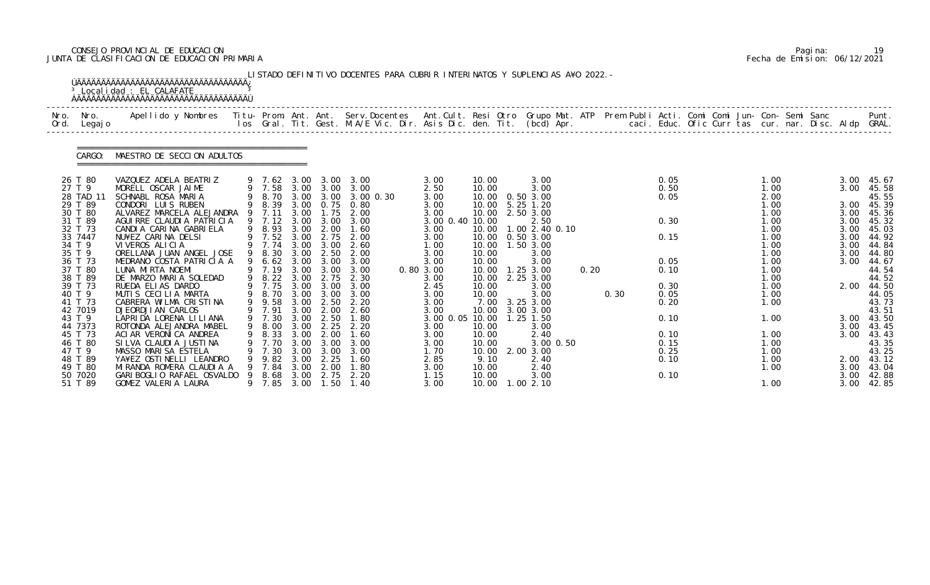## CONSEJO PROVINCIAL DE EDUCACION Pagina: 19 JUNTA DE CLASIFICACION DE EDUCACION PRIMARIA Fecha de Emision: 06/12/2021

|              |                     | <sup>3</sup> Localidad : EL CALAFATE                                                                                                     |                       |              |                               | LISTADO DEFINITIVO DOCENTES PARA CUBRIR INTERINATOS Y SUPLENCIAS A¥O 2022. -                                                   |                         |                |                          |      |      |              |  |              |  |              |                |
|--------------|---------------------|------------------------------------------------------------------------------------------------------------------------------------------|-----------------------|--------------|-------------------------------|--------------------------------------------------------------------------------------------------------------------------------|-------------------------|----------------|--------------------------|------|------|--------------|--|--------------|--|--------------|----------------|
| Nro.<br>Ord. | Nro.<br>Legaj o     | Apellido y Nombres Titu- Prom. Ant. Ant. Serv.Docentes Ant.Cult. Resi Otro Grupo Mat. ATP Prem Publi Acti. Comi Comi Jun- Con- Semi Sanc |                       |              |                               | los Gral. Tit. Gest. M.A/E Vic. Dir. Asis Dic. den. Tit. (bcd) Apr.       caci. Educ. Ofic Curr tas cur. nar. Disc. Aldp GRAL. |                         |                |                          |      |      |              |  |              |  |              | Punt.          |
|              | CARGO:              | MAESTRO DE SECCION ADULTOS                                                                                                               |                       |              |                               |                                                                                                                                |                         |                |                          |      |      |              |  |              |  |              |                |
|              | 26 T 80             | VAZQUEZ ADELA BEATRIZ                                                                                                                    |                       |              | 9 7.62 3.00 3.00              | 3.00                                                                                                                           | 3.00                    | 10.00          | 3.00                     |      |      | 0.05         |  | 1.00         |  | 3.00         | 45.67          |
|              | 27 T 9<br>28 TAD 11 | MORELL OSCAR JAIME<br>SCHNABL ROSA MARIA                                                                                                 | 9 7.58                |              | 3.00 3.00<br>9 8.70 3.00 3.00 | 3.00<br>3.00 0.30                                                                                                              | 2.50<br>3.00            | 10.00<br>10.00 | 3.00<br>0.503.00         |      |      | 0.50<br>0.05 |  | 1.00<br>2.00 |  | 3.00         | 45.58<br>45.55 |
|              | 29 T 89             | CONDORI LUIS RUBEN                                                                                                                       | 9 8.39                |              | 3.00 0.75                     | 0.80                                                                                                                           | 3.00                    | 10.00          | 5.25 1.20                |      |      |              |  | 1.00         |  | 3.00         | 45.39          |
|              | 30 T 80<br>31 T 89  | ALVAREZ MARCELA ALEJANDRA<br>AGUIRRE CLAUDIA PATRICIA                                                                                    | 9 7.11<br>9 7.12      | 3.00<br>3.00 | 1.75<br>3.00                  | 2.00<br>3.00                                                                                                                   | 3.00<br>3.00 0.40 10.00 | 10.00          | 2.50 3.00<br>2.50        |      |      | 0.30         |  | 1.00<br>1.00 |  | 3.00<br>3.00 | 45.36<br>45.32 |
|              | 32 T 73             | CANDIA CARINA GABRIELA                                                                                                                   | 9 8.93 3.00           |              | 2.00                          | 1.60                                                                                                                           | 3.00                    | 10.00          | 1.00 2.40 0.10           |      |      |              |  | 1.00         |  | 3.00         | 45.03          |
|              | 33 7447             | NU¥EZ CARINA DELSI                                                                                                                       | 9 7.52                | 3.00         | 2.75                          | 2.00                                                                                                                           | 3.00                    | 10.00          | 0.50 3.00                |      |      | 0.15         |  | 1.00         |  | 3.00         | 44.92          |
|              | 34 T 9<br>35 T 9    | VIVEROS ALICIA<br>ORELLANA JUAN ANGEL JOSE                                                                                               | 9 7.74<br>9 8.30      | 3.00<br>3.00 | 3.00<br>2.50                  | 2.60<br>2.00                                                                                                                   | 1.00<br>3.00            | 10.00<br>10.00 | 1.50 3.00<br>3.00        |      |      |              |  | 1.00<br>1.00 |  | 3.00<br>3.00 | 44.84<br>44.80 |
|              | 36 T 73             | MEDRANO COSTA PATRICIA A                                                                                                                 | 9 6.62                |              | 3.00 3.00                     | 3.00                                                                                                                           | 3.00                    | 10.00          | 3.00                     |      |      | 0.05         |  | 1.00         |  | 3.00         | 44.67          |
|              | 37 T 80             | LUNA MIRTA NOEMI                                                                                                                         | 9 7.19                | 3.00         | 3.00                          | 3.00                                                                                                                           | 0.803.00                | 10.00          | 1.25 3.00                | 0.20 |      | 0.10         |  | 1.00         |  |              | 44.54          |
|              | 38 T 89<br>39 T 73  | DE MARZO MARIA SOLEDAD<br>RUEDA ELIAS DARDO                                                                                              | 9 8.22 3.00<br>9 7.75 | 3.00         | 2.75<br>3.00                  | 2.30<br>3.00                                                                                                                   | 3.00<br>2.45            | 10.00<br>10.00 | 2.25 3.00<br>3.00        |      |      | 0.30         |  | 1.00<br>1.00 |  | 2.00         | 44.52<br>44.50 |
|              | 40 T 9              | MUTIS CECILIA MARTA                                                                                                                      | 9 8.70                | 3.00         | 3.00                          | 3.00                                                                                                                           | 3.00                    | 10.00          | 3.00                     |      | 0.30 | 0.05         |  | 1.00         |  |              | 44.05          |
|              | 41 T 73             | CABRERA WILMA CRISTINA                                                                                                                   | 9 9.58                | 3.00         | 2.50                          | 2.20                                                                                                                           | 3.00                    | 7.00           | 3.25 3.00                |      |      | 0.20         |  | 1.00         |  |              | 43.73          |
|              | 42 7019<br>43 T 9   | <b>DJEORDJIAN CARLOS</b><br>LAPRIDA LORENA LILIANA                                                                                       | 9 7.91<br>9 7.30      | 3.00<br>3.00 | 2.00<br>2.50                  | 2.60<br>1.80                                                                                                                   | 3.00<br>3.00 0.05 10.00 | 10.00          | 3.00 3.00<br>$1.25$ 1.50 |      |      | 0.10         |  | 1.00         |  | 3.00         | 43.51<br>43.50 |
|              | 44 7373             | ROTONDA ALEJANDRA MABEL                                                                                                                  | 9 8.00                |              | $3.00$ $2.25$                 | 2.20                                                                                                                           | 3.00                    | 10.00          | 3.00                     |      |      |              |  |              |  | 3.00         | 43.45          |
|              | 45 T 73             | ACI AR VERONICA ANDREA                                                                                                                   | 8.33                  | 3.00         | 2.00                          | 1.60                                                                                                                           | 3.00                    | 10.00          | 2.40                     |      |      | 0.10         |  | 1.00         |  | 3.00         | 43.43          |
|              | 46 T 80<br>47 T 9   | SILVA CLAUDIA JUSTINA                                                                                                                    | 7.70                  | 3.00<br>3.00 | 3.00<br>3.00                  | 3.00<br>3.00                                                                                                                   | 3.00                    | 10.00          | 3.00 0.50                |      |      | 0.15         |  | 1.00         |  |              | 43.35          |
|              | 48 T 89             | MASSO MARISA ESTELA<br>YA¥EZ OSTINELLI LEANDRO                                                                                           | 7.30<br>9.82          | 3.00         | 2.25                          | 1.60                                                                                                                           | 1.70<br>2.85            | 10.00<br>9.10  | 2.00 3.00<br>2.40        |      |      | 0.25<br>0.10 |  | 1.00<br>1.00 |  | 2.00         | 43.25<br>43.12 |
|              | 49 T 80             | MIRANDA ROMERA CLAUDIA A                                                                                                                 | 7.84                  | 3.00         | 2.00                          | 1.80                                                                                                                           | 3.00                    | 10.00          | 2.40                     |      |      |              |  | 1.00         |  | 3.00         | 43.04          |
|              | 50 7020<br>51 T 89  | GARI BOGLIO RAFAEL OSVALDO<br>GOMEZ VALERIA LAURA                                                                                        | 8.68                  | 3.00         | 2.75<br>1.50                  | 2.20<br>1.40                                                                                                                   | 1.15                    | 10.00<br>10.00 | 3.00                     |      |      | 0.10         |  |              |  | 3.00         | 42.88          |
|              |                     |                                                                                                                                          | 9 7.85                | 3.00         |                               |                                                                                                                                | 3.00                    |                | 1.002.10                 |      |      |              |  | 1.00         |  | 3.00         | 42.85          |

|  | Pagi na: |                              |
|--|----------|------------------------------|
|  |          | Fecha de Emision: 06/12/2021 |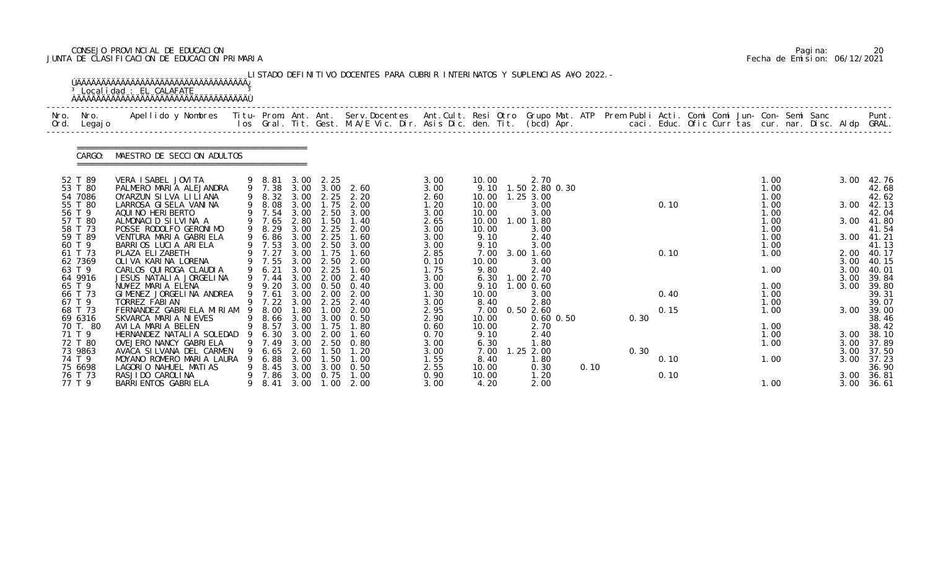## CONSEJO PROVINCIAL DE EDUCACION Pagina: 20 JUNTA DE CLASIFICACION DE EDUCACION PRIMARIA Fecha de Emision: 06/12/2021

| Nro.<br>Ord. | Nro.<br>Legaj o    | Apellido y Nombres - Titu- Prom. Ant. Ant. Serv.Docentes - Ant.Cult. Resi Otro Grupo Mat. ATP Prem Publi Acti. Comi Comi Jun- Con- Semi Sanc - - - - Punt.<br>Ios Gral. Tit. Gest. M.A/E Vic. Dir. Asis Dic. den. Tit. (bcd) Apr. |   |                          |              |                               |                               |              |                |                        |      |      |      |  |              |  |      |                |
|--------------|--------------------|-----------------------------------------------------------------------------------------------------------------------------------------------------------------------------------------------------------------------------------|---|--------------------------|--------------|-------------------------------|-------------------------------|--------------|----------------|------------------------|------|------|------|--|--------------|--|------|----------------|
|              | CARGO:             | MAESTRO DE SECCION ADULTOS                                                                                                                                                                                                        |   |                          |              |                               |                               |              |                |                        |      |      |      |  |              |  |      |                |
|              | 52 T 89<br>53 T 80 | VERA I SABEL JOVI TA<br>PALMERO MARIA ALEJANDRA                                                                                                                                                                                   |   | $9$ $8.81$<br>$9$ $7.38$ | 3.00         | 2.25                          | 3.00 3.00 2.60                | 3.00<br>3.00 | 10.00<br>9.10  | 2.70<br>1.50 2.80 0.30 |      |      |      |  | 1.00<br>1.00 |  | 3.00 | 42.76<br>42.68 |
|              | 54 7086            | OYARZUN SILVA LILIANA                                                                                                                                                                                                             |   |                          |              |                               | 9 8.32 3.00 2.25 2.20         | 2.60         | 10.00          | $1.25$ $3.00$          |      |      |      |  | 1.00         |  |      | 42.62          |
|              | 55 T 80            | LARROSA GI SELA VANI NA                                                                                                                                                                                                           |   |                          |              | 9 8.08 3.00 1.75              | 2.00                          | 1.20         | 10.00          | 3.00                   |      |      | 0.10 |  | 1.00         |  | 3.00 | 42.13          |
|              | 56 T 9<br>57 T 80  | AQUI NO HERI BERTO<br>ALMONACID SILVINA A                                                                                                                                                                                         |   | 9 7.54<br>9 7.65         | 3.00<br>2.80 | 2.50<br>1.50                  | 3.00<br>1.40                  | 3.00<br>2.65 | 10.00<br>10.00 | 3.00<br>1.00 1.80      |      |      |      |  | 1.00<br>1.00 |  | 3.00 | 42.04<br>41.80 |
|              | 58 T 73            | POSSE RODOLFO GERONIMO                                                                                                                                                                                                            |   | 9 8.29                   | 3.00         | 2.25                          | 2.00                          | 3.00         | 10.00          | 3.00                   |      |      |      |  | 1.00         |  |      | 41.54          |
|              | 59 T 89            | VENTURA MARIA GABRIELA                                                                                                                                                                                                            |   | 9 6.86                   | 3.00         | 2.25                          | 1.60                          | 3.00         | 9.10           | 2.40                   |      |      |      |  | 1.00         |  |      | 3.00 41.21     |
| 60 T 9       | 61 T 73            | BARRIOS LUCIA ARIELA<br>PLAZA ELIZABETH                                                                                                                                                                                           |   | 9 7.53<br>9 7.27         | 3.00         | 3.00 1.75                     | 2.50 3.00<br>1.60             | 3.00<br>2.85 | 9.10<br>7.00   | 3.00<br>3.00 1.60      |      |      | 0.10 |  | 1.00<br>1.00 |  | 2.00 | 41.13<br>40.17 |
|              | 62 7369            | OLI VA KARI NA LORENA                                                                                                                                                                                                             |   | 9 7.55                   | 3.00         | 2.50                          | 2.00                          | 0.10         | 10.00          | 3.00                   |      |      |      |  |              |  | 3.00 | 40.15          |
| 63 T 9       |                    | CARLOS QUI ROGA CLAUDI A                                                                                                                                                                                                          |   | 9 6.21                   | 3.00         | 2.25                          | 1.60                          | 1.75         | 9.80           | 2.40                   |      |      |      |  | 1.00         |  | 3.00 | 40.01          |
|              | 64 9916            | JESUS NATALIA JORGELINA                                                                                                                                                                                                           |   | 9 7.44                   | 3.00         | 2.00                          | 2.40                          | 3.00         | 6.30           | 1.00 2.70              |      |      |      |  |              |  | 3.00 | 39.84          |
| 65 T 9       | 66 T 73            | NU¥EZ MARIA ELENA<br>GIMENEZ JORGELINA ANDREA                                                                                                                                                                                     |   | 9 9.20<br>9 7.61         |              | 3.00 0.50<br>$3.00\quad 2.00$ | 0.40<br>2.00                  | 3.00<br>1.30 | 9.10<br>10.00  | 1.00 0.60<br>3.00      |      |      | 0.40 |  | 1.00<br>1.00 |  | 3.00 | 39.80<br>39.31 |
| 67 T 9       |                    | TORREZ FABIAN                                                                                                                                                                                                                     |   | 9 7.22                   | 3.00         | 2.25                          | 2.40                          | 3.00         | 8.40           | 2.80                   |      |      |      |  | 1.00         |  |      | 39.07          |
|              | 68 T 73            | FERNANDEZ GABRIELA MIRIAM 9                                                                                                                                                                                                       |   | 8.00                     | 1.80         | 1.00                          | 2.00                          | 2.95         | 7.00           | 0.502.60               |      |      | 0.15 |  | 1.00         |  | 3.00 | 39.00          |
|              | 69 6316            | SKVARCA MARIA NIEVES                                                                                                                                                                                                              |   |                          |              |                               | 9 8.66 3.00 3.00 0.50         | 2.90         | 10.00          | $0.60$ $0.50$          |      | 0.30 |      |  |              |  |      | 38.46          |
|              | 70 T. 80<br>71 T 9 | AVILA MARIA BELEN<br>HERNANDEZ NATALIA SOLEDAD                                                                                                                                                                                    |   | 6.30                     | 3.00         | 2.00                          | 9 8.57 3.00 1.75 1.80<br>1.60 | 0.60<br>0.70 | 10.00<br>9.10  | 2.70<br>2.40           |      |      |      |  | 1.00<br>1.00 |  | 3.00 | 38.42<br>38.10 |
|              | 72 T 80            | OVEJERO NANCY GABRIELA                                                                                                                                                                                                            |   | 7.49                     | 3.00         | 2.50                          | 0.80                          | 3.00         | 6.30           | 1.80                   |      |      |      |  | 1.00         |  | 3.00 | 37.89          |
|              | 73 9863            | AVACA SILVANA DEL CARMEN                                                                                                                                                                                                          |   | 6.65                     | 2.60         | 1.50                          | 1. 20                         | 3.00         | 7.00           | 1.25 2.00              |      | 0.30 |      |  |              |  | 3.00 | 37.50          |
|              | 74 T 9<br>75 6698  | MOYANO ROMERO MARIA LAURA                                                                                                                                                                                                         | 9 | 6.88                     | 3.00         | 1.50<br>3.00                  | 1.00                          | 1.55         | 8.40           | 1.80                   |      |      | 0.10 |  | 1.00         |  | 3.00 | 37.23          |
|              | 76 T 73            | LAGORIO NAHUEL MATIAS<br>RASJI DO CAROLI NA                                                                                                                                                                                       |   | 8.45<br>7.86             | 3.00<br>3.00 | 0.75                          | 0.50<br>1.00                  | 2.55<br>0.90 | 10.00<br>10.00 | 0.30<br>1.20           | 0.10 |      | 0.10 |  |              |  | 3.00 | 36.90<br>36.81 |
|              | 77 T 9             | BARRI ENTOS GABRI ELA                                                                                                                                                                                                             | 9 | 8.41                     | 3.00         | 1.00                          | 2.00                          | 3.00         | 4.20           | 2.00                   |      |      |      |  | 1.00         |  | 3.00 | 36.61          |

|  | Pagi na: | 20                           |
|--|----------|------------------------------|
|  |          | Fecha de Emision: 06/12/2021 |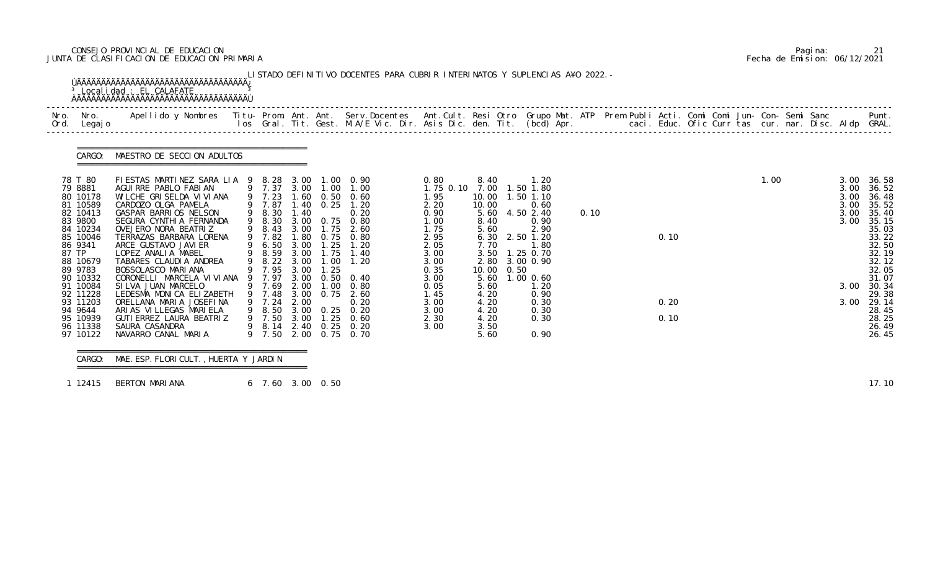## CONSEJO PROVINCIAL DE EDUCACION Pagina: 21 JUNTA DE CLASIFICACION DE EDUCACION PRIMARIA Fecha de Emision: 06/12/2021

| Ord. | Nro. Nro.<br>Legaj o                                                                                                                             | Apellido y Nombres Titu- Prom. Ant. Ant. Serv.Docentes Ant.Cult. Resi Otro Grupo Mat. ATP Prem Publi Acti. Comi Comi Jun- Con- Semi Sanc                                                                                                                                                                                                                             |                                                                                                  |                                                      |                                      |                                                                                                                                                                                  |                                                                                                           |                                                                                                         |      |                                                                                                                                      |      |              |  |      |                                      | Punt.                                                                                                                  |
|------|--------------------------------------------------------------------------------------------------------------------------------------------------|----------------------------------------------------------------------------------------------------------------------------------------------------------------------------------------------------------------------------------------------------------------------------------------------------------------------------------------------------------------------|--------------------------------------------------------------------------------------------------|------------------------------------------------------|--------------------------------------|----------------------------------------------------------------------------------------------------------------------------------------------------------------------------------|-----------------------------------------------------------------------------------------------------------|---------------------------------------------------------------------------------------------------------|------|--------------------------------------------------------------------------------------------------------------------------------------|------|--------------|--|------|--------------------------------------|------------------------------------------------------------------------------------------------------------------------|
|      | CARGO:                                                                                                                                           | MAESTRO DE SECCION ADULTOS                                                                                                                                                                                                                                                                                                                                           |                                                                                                  |                                                      |                                      |                                                                                                                                                                                  |                                                                                                           |                                                                                                         |      |                                                                                                                                      |      |              |  |      |                                      |                                                                                                                        |
|      | 78 T 80<br>79 8881<br>80 10178<br>81 10589<br>82 10413<br>83 9800<br>84 10234<br>85 10046<br>86 9341<br>87 TP<br>88 10679<br>89 9783<br>90 10332 | FIESTAS MARTINEZ SARA LIA 9 8.28 3.00 1.00 0.90<br>AGUI RRE PABLO FABI AN<br>WI LCHE GRI SELDA VI VI ANA<br>CARDOZO OLGA PAMELA<br>GASPAR BARRIOS NELSON<br>SEGURA CYNTHIA FERNANDA<br>OVEJERO NORA BEATRIZ<br>TERRAZAS BARBARA LORENA<br>ARCE GUSTAVO JAVI ER<br>LOPEZ ANALIA MABEL<br>TABARES CLAUDIA ANDREA<br>BOSSOLASCO MARI ANA<br>CORONELLI MARCELA VI VI ANA | 9 7.87<br>9 8.30<br>9 8.30<br>9 8.43<br>9 7.82<br>9 6.50<br>9 8.59<br>9 8.22<br>9 7.95<br>9 7.97 | 1.40<br>3.00<br>1.80<br>3.00<br>3.00<br>3.00<br>3.00 | 1.75<br>1.25<br>1.00<br>1.25<br>1.00 | 9 7.37 3.00 1.00 1.00<br>9 7.23 1.60 0.50 0.60<br>1.40 0.25 1.20<br>0.20<br>3.00 0.75 0.80<br>2.60<br>$0.75$ 0.80<br>1.20<br>3.00 1.75 1.40<br>1.20<br>$0.50 \quad 0.40$<br>0.80 | 0.80<br>1.75 0.10<br>1.95<br>2.20<br>0.90<br>1.00<br>1.75<br>2.95<br>2.05<br>3.00<br>3.00<br>0.35<br>3.00 | 8.40<br>7.00<br>10.00<br>10.00<br>5.60<br>8.40<br>5.60<br>6.30<br>7.70<br>3.50<br>2.80<br>10.00<br>5.60 | 0.50 | 1.20<br>1.50 1.80<br>1.50 1.10<br>0.60<br>4.50 2.40<br>0.90<br>2.90<br>2.50 1.20<br>1.80<br>1.25 0.70<br>3.00 0.90<br>$1.00 \, 0.60$ | 0.10 | 0.10         |  | 1.00 | 3.00<br>3.00<br>3.00<br>3.00<br>3.00 | 3.00 36.58<br>36.52<br>36.48<br>35.52<br>35.40<br>35.15<br>35.03<br>33.22<br>32.50<br>32.19<br>32.12<br>32.05<br>31.07 |
|      | 91 10084<br>92 11228<br>93 11203<br>94 9644<br>95 10939<br>96 11338<br>97 10122                                                                  | SILVA JUAN MARCELO<br>LEDESMA MONICA ELIZABETH<br>ORELLANA MARIA JOSEFINA<br>ARIAS VILLEGAS MARIELA<br>GUTI ERREZ LAURA BEATRIZ<br>SAURA CASANDRA<br>NAVARRO CANAL MARIA                                                                                                                                                                                             | 9 7.69<br>9 7.48 3.00<br>9 7.24<br>9 7.50                                                        | 2.00<br>2.00<br>2.00                                 | 0.75                                 | $0.75$ 2.60<br>0.20<br>9 8.50 3.00 0.25 0.20<br>9 7.50 3.00 1.25 0.60<br>9 8.14 2.40 0.25 0.20<br>0.70                                                                           | 0.05<br>1.45<br>3.00<br>3.00<br>2.30<br>3.00                                                              | 5.60<br>4.20<br>4.20<br>4.20<br>4.20<br>3.50<br>5.60                                                    |      | 1.20<br>0.90<br>0.30<br>0.30<br>0.30<br>0.90                                                                                         |      | 0.20<br>0.10 |  |      | 3.00<br>3.00                         | 30.34<br>29.38<br>29.14<br>28.45<br>28.25<br>26.49<br>26.45                                                            |

 =============================================== CARGO: MAE. ESP. FLORICULT., HUERTA Y JARDIN ===============================================

1 12415 BERTON MARIANA 6 7.60 3.00 0.50 17.10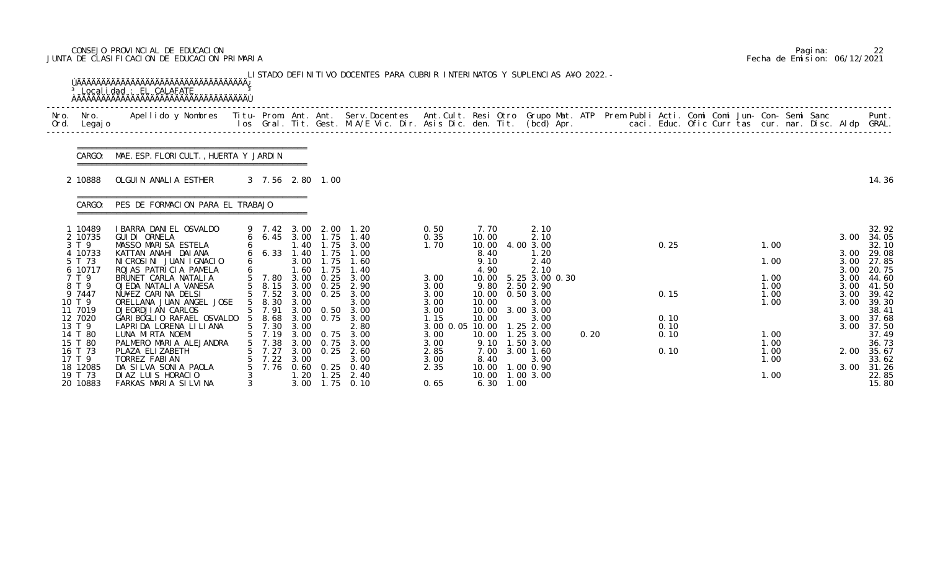## CONSEJO PROVINCIAL DE EDUCACION Pagina: 22 JUNTA DE CLASIFICACION DE EDUCACION PRIMARIA Fecha de Emision: 06/12/2021

|              |                                                      | <sup>3</sup> Localidad : EL CALAFATE                                                                                                                                                                                              |                                                       |                             |                                        | LISTADO DEFINITIVO DOCENTES PARA CUBRIR INTERINATOS Y SUPLENCIAS A¥O 2022. - |                                                 |                                            |                                                              |      |                      |                              |  |                                      |                                           |
|--------------|------------------------------------------------------|-----------------------------------------------------------------------------------------------------------------------------------------------------------------------------------------------------------------------------------|-------------------------------------------------------|-----------------------------|----------------------------------------|------------------------------------------------------------------------------|-------------------------------------------------|--------------------------------------------|--------------------------------------------------------------|------|----------------------|------------------------------|--|--------------------------------------|-------------------------------------------|
| Nro.<br>Ord. | Nro.<br>Legaj o                                      | Apellido y Nombres - Titu- Prom. Ant. Ant. Serv.Docentes - Ant.Cult. Resi Otro Grupo Mat. ATP Prem Publi Acti. Comi Comi Jun- Con- Semi Sanc - - - Punt.<br>Ios Gral. Tit. Gest. M.A/E Vic. Dir. Asis Dic. den. Tit. (bcd) Apr. - |                                                       |                             |                                        |                                                                              |                                                 |                                            |                                                              |      |                      |                              |  |                                      |                                           |
|              |                                                      | CARGO: MAE. ESP. FLORI CULT., HUERTA Y JARDIN                                                                                                                                                                                     |                                                       |                             |                                        |                                                                              |                                                 |                                            |                                                              |      |                      |                              |  |                                      |                                           |
|              | 2 10888                                              | OLGUIN ANALIA ESTHER                                                                                                                                                                                                              | 3 7.56 2.80 1.00                                      |                             |                                        |                                                                              |                                                 |                                            |                                                              |      |                      |                              |  |                                      | 14.36                                     |
|              | CARGO:                                               | PES DE FORMACION PARA EL TRABAJO                                                                                                                                                                                                  |                                                       |                             |                                        |                                                                              |                                                 |                                            |                                                              |      |                      |                              |  |                                      |                                           |
|              | 1 10489<br>2 10735<br>3 T 9<br>4 10733<br>5 T 73     | I BARRA DANI EL OSVALDO<br>GUI DI ORNELA<br>MASSO MARISA ESTELA<br>KATTAN ANAHI DAIANA<br>NICROSINI JUAN IGNACIO                                                                                                                  | 9 7.42 3.00 2.00<br>6 6.45 3.00 1.75<br>$6\quad 6.33$ | 1.40<br>. 40<br>3.00        | 1.75<br>1.75<br>1.75                   | 1. 20<br>1.40<br>3.00<br>1.00<br>1.60                                        | 0.50<br>0.35<br>1.70                            | 7.70<br>10.00<br>10.00<br>8.40<br>9.10     | 2.10<br>2.10<br>4.00 3.00<br>1.20<br>2.40                    |      | 0.25                 | 1.00<br>1.00                 |  | 3.00<br>3.00<br>3.00                 | 32.92<br>34.05<br>32.10<br>29.08<br>27.85 |
|              | 6 10717<br>7 T 9<br>8 T 9<br>9 7447<br>10 T 9        | ROJAS PATRICIA PAMELA<br>BRUNET CARLA NATALIA<br>OJEDA NATALIA VANESA<br>NU¥EZ CARINA DELSI<br>ORELLANA JUAN ANGEL JOSE                                                                                                           | 5 7.80<br>5 8.15 3.00 0.25<br>5 7.52<br>5 8.30        | .60<br>3.00<br>3.00<br>3.00 | $\overline{.75}$<br>0.25<br>0.25       | 1.40<br>3.00<br>2.90<br>3.00<br>3.00                                         | 3.00<br>3.00<br>3.00<br>3.00                    | 4.90<br>10.00<br>9.80<br>10.00<br>10.00    | 2.10<br>5.25 3.00 0.30<br>2.50 2.90<br>0.503.00<br>3.00      |      | 0.15                 | 1.00<br>1.00<br>1.00<br>1.00 |  | 3.00<br>3.00<br>3.00<br>3.00<br>3.00 | 20.75<br>44.60<br>41.50<br>39.42<br>39.30 |
|              | 11 7019<br>12 7020<br>13 T 9<br>14 T 80<br>15 T 80   | <b>DJEORDJIAN CARLOS</b><br>GARI BOGLIO RAFAEL OSVALDO 5 8.68<br>LAPRIDA LORENA LILIANA<br>LUNA MIRTA NOEMI<br>PALMERO MARIA ALEJANDRA                                                                                            | 5 7.91<br>5 7.30 3.00<br>7.19<br>7.38                 | 3.00<br>3.00                | 3.00 0.50<br>3.00 0.75<br>0.75<br>0.75 | 3.00<br>3.00<br>2.80<br>3.00<br>3.00                                         | 3.00<br>1.15<br>3.00 0.05 10.00<br>3.00<br>3.00 | 10.00<br>10.00<br>10.00                    | 3.00 3.00<br>3.00<br>1.252.00<br>1.25 3.00<br>9.10 1.50 3.00 | 0.20 | 0.10<br>0.10<br>0.10 | 1.00<br>1.00                 |  | 3.00<br>3.00                         | 38.41<br>37.68<br>37.50<br>37.49<br>36.73 |
|              | 16 T 73<br>17 T 9<br>18 12085<br>19 T 73<br>20 10883 | PLAZA ELIZABETH<br>TORREZ FABIAN<br>DA SILVA SONIA PAOLA<br>DIAZ LUIS HORACIO<br>FARKAS MARIA SILVINA                                                                                                                             | 7.27<br>7.22<br>7.76                                  | 3.00<br>3.00<br>1.20        | 0.25<br>$0.60 \quad 0.25$              | 2.60<br>3.00<br>0.40<br>$1.25$ $2.40$<br>3.00 1.75 0.10                      | 2.85<br>3.00<br>2.35<br>0.65                    | 7.00<br>8.40<br>10.00<br>$6.30 \quad 1.00$ | $3.00$ 1.60<br>3.00<br>1.00 0.90<br>10.00  1.00  3.00        |      | 0.10                 | 1.00<br>1.00<br>1.00         |  | 2.00<br>3.00                         | 35.67<br>33.62<br>31.26<br>22.85<br>15.80 |

|  | Pagi na: |                              |
|--|----------|------------------------------|
|  |          | Fecha de Emision: 06/12/2021 |